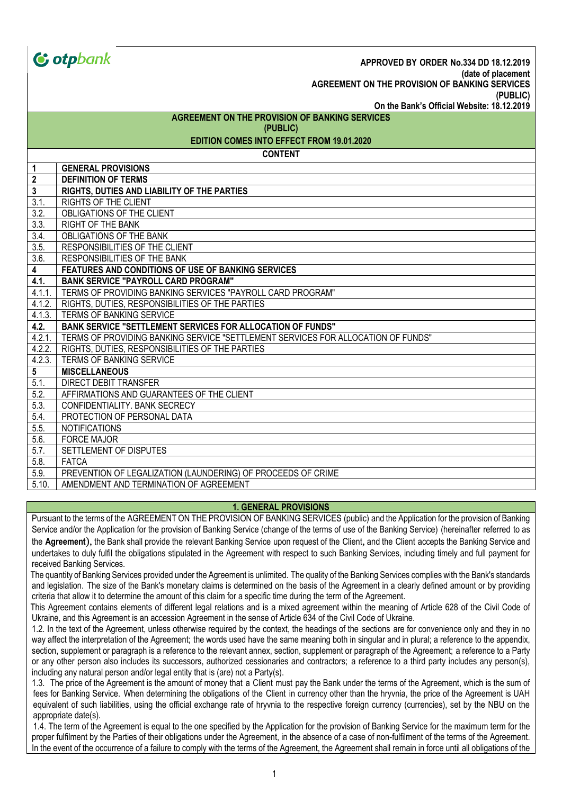|                                                | <b><i>C</i></b> otpbank<br>APPROVED BY ORDER No.334 DD 18.12.2019                |  |  |  |
|------------------------------------------------|----------------------------------------------------------------------------------|--|--|--|
|                                                | (date of placement<br>AGREEMENT ON THE PROVISION OF BANKING SERVICES             |  |  |  |
|                                                | (PUBLIC)                                                                         |  |  |  |
|                                                | On the Bank's Official Website: 18.12.2019                                       |  |  |  |
| AGREEMENT ON THE PROVISION OF BANKING SERVICES |                                                                                  |  |  |  |
| (PUBLIC)                                       |                                                                                  |  |  |  |
| EDITION COMES INTO EFFECT FROM 19.01.2020      |                                                                                  |  |  |  |
| <b>CONTENT</b>                                 |                                                                                  |  |  |  |
| $\mathbf{1}$                                   | <b>GENERAL PROVISIONS</b>                                                        |  |  |  |
| $\overline{2}$                                 | <b>DEFINITION OF TERMS</b>                                                       |  |  |  |
| $\mathbf{3}$                                   | RIGHTS, DUTIES AND LIABILITY OF THE PARTIES                                      |  |  |  |
| 3.1.                                           | <b>RIGHTS OF THE CLIENT</b>                                                      |  |  |  |
| $\overline{3.2}$                               | OBLIGATIONS OF THE CLIENT                                                        |  |  |  |
| 3.3.                                           | <b>RIGHT OF THE BANK</b>                                                         |  |  |  |
| 3.4.                                           | OBLIGATIONS OF THE BANK                                                          |  |  |  |
| $\overline{3.5}$                               | RESPONSIBILITIES OF THE CLIENT                                                   |  |  |  |
| 3.6.                                           | RESPONSIBILITIES OF THE BANK                                                     |  |  |  |
| $\overline{4}$                                 | FEATURES AND CONDITIONS OF USE OF BANKING SERVICES                               |  |  |  |
| 4.1.                                           | <b>BANK SERVICE "PAYROLL CARD PROGRAM"</b>                                       |  |  |  |
| 4.1.1.                                         | TERMS OF PROVIDING BANKING SERVICES "PAYROLL CARD PROGRAM"                       |  |  |  |
| 4.1.2.                                         | RIGHTS, DUTIES, RESPONSIBILITIES OF THE PARTIES                                  |  |  |  |
| 4.1.3.                                         | TERMS OF BANKING SERVICE                                                         |  |  |  |
| 4.2.                                           | <b>BANK SERVICE "SETTLEMENT SERVICES FOR ALLOCATION OF FUNDS"</b>                |  |  |  |
| 4.2.1.                                         | TERMS OF PROVIDING BANKING SERVICE "SETTLEMENT SERVICES FOR ALLOCATION OF FUNDS" |  |  |  |
| 4.2.2.                                         | RIGHTS, DUTIES, RESPONSIBILITIES OF THE PARTIES                                  |  |  |  |
| 4.2.3.                                         | TERMS OF BANKING SERVICE                                                         |  |  |  |
| $5\phantom{.0}$                                | <b>MISCELLANEOUS</b>                                                             |  |  |  |
| 5.1.                                           | <b>DIRECT DEBIT TRANSFER</b>                                                     |  |  |  |
| 5.2.                                           | AFFIRMATIONS AND GUARANTEES OF THE CLIENT                                        |  |  |  |
| 5.3.                                           | CONFIDENTIALITY. BANK SECRECY                                                    |  |  |  |
| 5.4.                                           | PROTECTION OF PERSONAL DATA                                                      |  |  |  |
| 5.5.                                           | <b>NOTIFICATIONS</b>                                                             |  |  |  |
| 5.6.                                           | <b>FORCE MAJOR</b>                                                               |  |  |  |
| 5.7.                                           | <b>SETTLEMENT OF DISPUTES</b>                                                    |  |  |  |
| 5.8.                                           | <b>FATCA</b>                                                                     |  |  |  |
| 5.9.                                           | PREVENTION OF LEGALIZATION (LAUNDERING) OF PROCEEDS OF CRIME                     |  |  |  |
| 5.10.                                          | AMENDMENT AND TERMINATION OF AGREEMENT                                           |  |  |  |

#### **1. GENERAL PROVISIONS**

Pursuant to the terms of the AGREEMENT ON THE PROVISION OF BANKING SERVICES (public) and the Application for the provision of Banking Service and/or the Application for the provision of Banking Service (change of the terms of use of the Banking Service) (hereinafter referred to as the **Agreement**), the Bank shall provide the relevant Banking Service upon request of the Client, and the Client accepts the Banking Service and undertakes to duly fulfil the obligations stipulated in the Agreement with respect to such Banking Services, including timely and full payment for received Banking Services.

The quantity of Banking Services provided under the Agreement is unlimited. The quality of the Banking Services complies with the Bank's standards and legislation. The size of the Bank's monetary claims is determined on the basis of the Agreement in a clearly defined amount or by providing criteria that allow it to determine the amount of this claim for a specific time during the term of the Agreement.

This Agreement contains elements of different legal relations and is a mixed agreement within the meaning of Article 628 of the Civil Code of Ukraine, and this Agreement is an accession Agreement in the sense of Article 634 of the Civil Code of Ukraine.

1.2. In the text of the Agreement, unless otherwise required by the context, the headings of the sections are for convenience only and they in no way affect the interpretation of the Agreement; the words used have the same meaning both in singular and in plural; a reference to the appendix, section, supplement or paragraph is a reference to the relevant annex, section, supplement or paragraph of the Agreement; a reference to a Party or any other person also includes its successors, authorized cessionaries and contractors; a reference to a third party includes any person(s), including any natural person and/or legal entity that is (are) not a Party(s).

1.3. The price of the Agreement is the amount of money that a Client must pay the Bank under the terms of the Agreement, which is the sum of fees for Banking Service. When determining the obligations of the Client in currency other than the hryvnia, the price of the Agreement is UAH equivalent of such liabilities, using the official exchange rate of hryvnia to the respective foreign currency (currencies), set by the NBU on the appropriate date(s).

1.4. The term of the Agreement is equal to the one specified by the Application for the provision of Banking Service for the maximum term for the proper fulfilment by the Parties of their obligations under the Agreement, in the absence of a case of non-fulfilment of the terms of the Agreement. In the event of the occurrence of a failure to comply with the terms of the Agreement, the Agreement shall remain in force until all obligations of the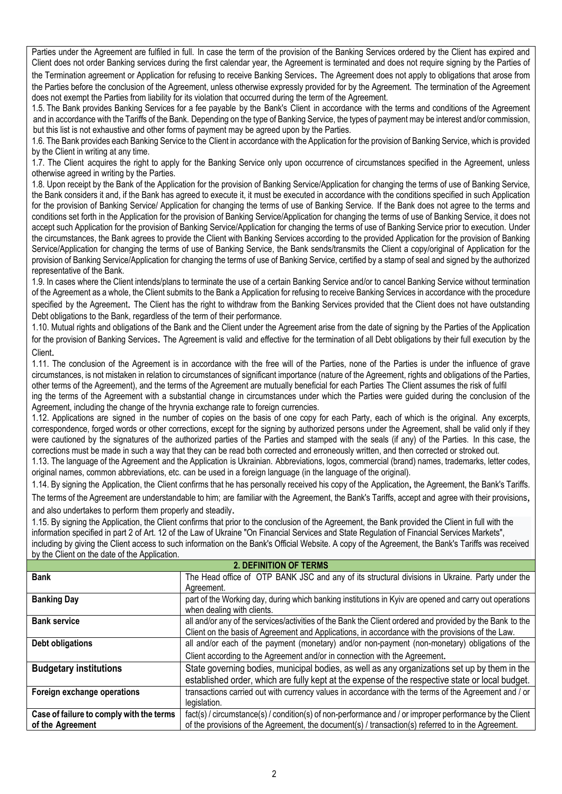Parties under the Agreement are fulfiled in full. In case the term of the provision of the Banking Services ordered by the Client has expired and Client does not order Banking services during the first calendar year, the Agreement is terminated and does not require signing by the Parties of the Termination agreement or Application for refusing to receive Banking Services. The Agreement does not apply to obligations that arose from the Parties before the conclusion of the Agreement, unless otherwise expressly provided for by the Agreement. The termination of the Agreement does not exempt the Parties from liability for its violation that occurred during the term of the Agreement.

1.5. The Bank provides Banking Services for a fee payable by the Bank's Client in accordance with the terms and conditions of the Agreement and in accordance with the Tariffs of the Bank. Depending on the type of Banking Service, the types of payment may be interest and/or commission, but this list is not exhaustive and other forms of payment may be agreed upon by the Parties.

1.6. The Bank provides each Banking Service to the Client in accordance with the Application for the provision of Banking Service, which is provided by the Client in writing at any time.

1.7. The Client acquires the right to apply for the Banking Service only upon occurrence of circumstances specified in the Agreement, unless otherwise agreed in writing by the Parties.

1.8. Upon receipt by the Bank of the Application for the provision of Banking Service/Application for changing the terms of use of Banking Service, the Bank considers it and, if the Bank has agreed to execute it, it must be executed in accordance with the conditions specified in such Application for the provision of Banking Service/ Application for changing the terms of use of Banking Service. If the Bank does not agree to the terms and conditions set forth in the Application for the provision of Banking Service/Application for changing the terms of use of Banking Service, it does not accept such Application for the provision of Banking Service/Application for changing the terms of use of Banking Service prior to execution. Under the circumstances, the Bank agrees to provide the Client with Banking Services according to the provided Application for the provision of Banking Service/Application for changing the terms of use of Banking Service, the Bank sends/transmits the Client a copy/original of Application for the provision of Banking Service/Application for changing the terms of use of Banking Service, certified by a stamp of seal and signed by the authorized representative of the Bank.

1.9. In cases where the Client intends/plans to terminate the use of a certain Banking Service and/or to cancel Banking Service without termination of the Agreement as a whole, the Client submits to the Bank a Application for refusing to receive Banking Services in accordance with the procedure specified by the Agreement. The Client has the right to withdraw from the Banking Services provided that the Client does not have outstanding Debt obligations to the Bank, regardless of the term of their performance.

1.10. Mutual rights and obligations of the Bank and the Client under the Agreement arise from the date of signing by the Parties of the Application for the provision of Banking Services. The Agreement is valid and effective for the termination of all Debt obligations by their full execution by the Client.

1.11. The conclusion of the Agreement is in accordance with the free will of the Parties, none of the Parties is under the influence of grave circumstances, is not mistaken in relation to circumstances of significant importance (nature of the Agreement, rights and obligations of the Parties, other terms of the Agreement), and the terms of the Agreement are mutually beneficial for each Parties The Client assumes the risk of fulfil ing the terms of the Agreement with a substantial change in circumstances under which the Parties were guided during the conclusion of the Agreement, including the change of the hryvnia exchange rate to foreign currencies.

1.12. Applications are signed in the number of copies on the basis of one copy for each Party, each of which is the original. Any excerpts, correspondence, forged words or other corrections, except for the signing by authorized persons under the Agreement, shall be valid only if they were cautioned by the signatures of the authorized parties of the Parties and stamped with the seals (if any) of the Parties. In this case, the corrections must be made in such a way that they can be read both corrected and erroneously written, and then corrected or stroked out.

1.13. The language of the Agreement and the Application is Ukrainian. Abbreviations, logos, commercial (brand) names, trademarks, letter codes, original names, common abbreviations, etc. can be used in a foreign language (in the language of the original).

1.14. By signing the Application, the Client confirms that he has personally received his copy of the Application, the Agreement, the Bank's Tariffs. The terms of the Agreement are understandable to him; are familiar with the Agreement, the Bank's Tariffs, accept and agree with their provisions,

and also undertakes to perform them properly and steadily.

1.15. By signing the Application, the Client confirms that prior to the conclusion of the Agreement, the Bank provided the Client in full with the information specified in part 2 of Art. 12 of the Law of Ukraine "On Financial Services and State Regulation of Financial Services Markets", including by giving the Client access to such information on the Bank's Official Website. A copy of the Agreement, the Bank's Tariffs was received by the Client on the date of the Application.

| <b>2. DEFINITION OF TERMS</b>            |                                                                                                          |  |
|------------------------------------------|----------------------------------------------------------------------------------------------------------|--|
| <b>Bank</b>                              | The Head office of OTP BANK JSC and any of its structural divisions in Ukraine. Party under the          |  |
|                                          | Agreement.                                                                                               |  |
| <b>Banking Day</b>                       | part of the Working day, during which banking institutions in Kyiv are opened and carry out operations   |  |
|                                          | when dealing with clients.                                                                               |  |
| <b>Bank service</b>                      | all and/or any of the services/activities of the Bank the Client ordered and provided by the Bank to the |  |
|                                          | Client on the basis of Agreement and Applications, in accordance with the provisions of the Law.         |  |
| Debt obligations                         | all and/or each of the payment (monetary) and/or non-payment (non-monetary) obligations of the           |  |
|                                          | Client according to the Agreement and/or in connection with the Agreement.                               |  |
| <b>Budgetary institutions</b>            | State governing bodies, municipal bodies, as well as any organizations set up by them in the             |  |
|                                          | established order, which are fully kept at the expense of the respective state or local budget.          |  |
| Foreign exchange operations              | transactions carried out with currency values in accordance with the terms of the Agreement and / or     |  |
|                                          | legislation.                                                                                             |  |
| Case of failure to comply with the terms | fact(s) / circumstance(s) / condition(s) of non-performance and / or improper performance by the Client  |  |
| of the Agreement                         | of the provisions of the Agreement, the document(s) / transaction(s) referred to in the Agreement.       |  |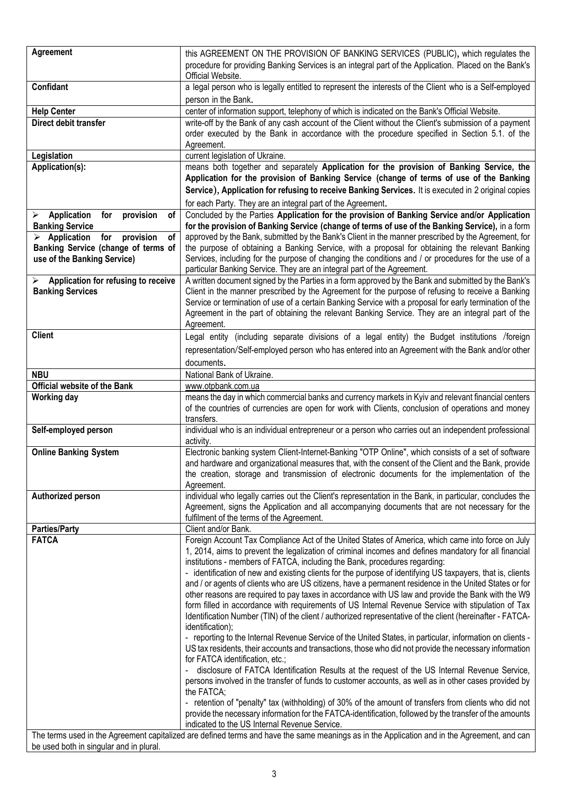| Agreement                                                                                                                                                                               | this AGREEMENT ON THE PROVISION OF BANKING SERVICES (PUBLIC), which regulates the<br>procedure for providing Banking Services is an integral part of the Application. Placed on the Bank's<br>Official Website.                                                                                                                                                                                                                                                                                                                                                                                                                                                                                                                                                                                                                                                                                                                                                                                                                                                                                                                                                                                                                                                                                                                   |  |  |
|-----------------------------------------------------------------------------------------------------------------------------------------------------------------------------------------|-----------------------------------------------------------------------------------------------------------------------------------------------------------------------------------------------------------------------------------------------------------------------------------------------------------------------------------------------------------------------------------------------------------------------------------------------------------------------------------------------------------------------------------------------------------------------------------------------------------------------------------------------------------------------------------------------------------------------------------------------------------------------------------------------------------------------------------------------------------------------------------------------------------------------------------------------------------------------------------------------------------------------------------------------------------------------------------------------------------------------------------------------------------------------------------------------------------------------------------------------------------------------------------------------------------------------------------|--|--|
| Confidant                                                                                                                                                                               | a legal person who is legally entitled to represent the interests of the Client who is a Self-employed<br>person in the Bank.                                                                                                                                                                                                                                                                                                                                                                                                                                                                                                                                                                                                                                                                                                                                                                                                                                                                                                                                                                                                                                                                                                                                                                                                     |  |  |
| <b>Help Center</b>                                                                                                                                                                      | center of information support, telephony of which is indicated on the Bank's Official Website.                                                                                                                                                                                                                                                                                                                                                                                                                                                                                                                                                                                                                                                                                                                                                                                                                                                                                                                                                                                                                                                                                                                                                                                                                                    |  |  |
| Direct debit transfer                                                                                                                                                                   | write-off by the Bank of any cash account of the Client without the Client's submission of a payment<br>order executed by the Bank in accordance with the procedure specified in Section 5.1. of the<br>Agreement.                                                                                                                                                                                                                                                                                                                                                                                                                                                                                                                                                                                                                                                                                                                                                                                                                                                                                                                                                                                                                                                                                                                |  |  |
| Legislation                                                                                                                                                                             | current legislation of Ukraine.                                                                                                                                                                                                                                                                                                                                                                                                                                                                                                                                                                                                                                                                                                                                                                                                                                                                                                                                                                                                                                                                                                                                                                                                                                                                                                   |  |  |
| Application(s):                                                                                                                                                                         | means both together and separately Application for the provision of Banking Service, the<br>Application for the provision of Banking Service (change of terms of use of the Banking<br>Service), Application for refusing to receive Banking Services. It is executed in 2 original copies<br>for each Party. They are an integral part of the Agreement.                                                                                                                                                                                                                                                                                                                                                                                                                                                                                                                                                                                                                                                                                                                                                                                                                                                                                                                                                                         |  |  |
|                                                                                                                                                                                         |                                                                                                                                                                                                                                                                                                                                                                                                                                                                                                                                                                                                                                                                                                                                                                                                                                                                                                                                                                                                                                                                                                                                                                                                                                                                                                                                   |  |  |
| <b>Application</b><br>provision<br>for<br>οf<br>➤<br><b>Banking Service</b>                                                                                                             | Concluded by the Parties Application for the provision of Banking Service and/or Application<br>for the provision of Banking Service (change of terms of use of the Banking Service), in a form                                                                                                                                                                                                                                                                                                                                                                                                                                                                                                                                                                                                                                                                                                                                                                                                                                                                                                                                                                                                                                                                                                                                   |  |  |
| provision<br>Application<br>for<br>of<br>≻                                                                                                                                              | approved by the Bank, submitted by the Bank's Client in the manner prescribed by the Agreement, for                                                                                                                                                                                                                                                                                                                                                                                                                                                                                                                                                                                                                                                                                                                                                                                                                                                                                                                                                                                                                                                                                                                                                                                                                               |  |  |
| Banking Service (change of terms of<br>use of the Banking Service)                                                                                                                      | the purpose of obtaining a Banking Service, with a proposal for obtaining the relevant Banking<br>Services, including for the purpose of changing the conditions and / or procedures for the use of a<br>particular Banking Service. They are an integral part of the Agreement.                                                                                                                                                                                                                                                                                                                                                                                                                                                                                                                                                                                                                                                                                                                                                                                                                                                                                                                                                                                                                                                  |  |  |
| Application for refusing to receive<br>➤                                                                                                                                                | A written document signed by the Parties in a form approved by the Bank and submitted by the Bank's                                                                                                                                                                                                                                                                                                                                                                                                                                                                                                                                                                                                                                                                                                                                                                                                                                                                                                                                                                                                                                                                                                                                                                                                                               |  |  |
| <b>Banking Services</b>                                                                                                                                                                 | Client in the manner prescribed by the Agreement for the purpose of refusing to receive a Banking<br>Service or termination of use of a certain Banking Service with a proposal for early termination of the<br>Agreement in the part of obtaining the relevant Banking Service. They are an integral part of the<br>Agreement.                                                                                                                                                                                                                                                                                                                                                                                                                                                                                                                                                                                                                                                                                                                                                                                                                                                                                                                                                                                                   |  |  |
| <b>Client</b>                                                                                                                                                                           | Legal entity (including separate divisions of a legal entity) the Budget institutions /foreign                                                                                                                                                                                                                                                                                                                                                                                                                                                                                                                                                                                                                                                                                                                                                                                                                                                                                                                                                                                                                                                                                                                                                                                                                                    |  |  |
|                                                                                                                                                                                         | representation/Self-employed person who has entered into an Agreement with the Bank and/or other                                                                                                                                                                                                                                                                                                                                                                                                                                                                                                                                                                                                                                                                                                                                                                                                                                                                                                                                                                                                                                                                                                                                                                                                                                  |  |  |
|                                                                                                                                                                                         | documents.                                                                                                                                                                                                                                                                                                                                                                                                                                                                                                                                                                                                                                                                                                                                                                                                                                                                                                                                                                                                                                                                                                                                                                                                                                                                                                                        |  |  |
| <b>NBU</b>                                                                                                                                                                              | National Bank of Ukraine.                                                                                                                                                                                                                                                                                                                                                                                                                                                                                                                                                                                                                                                                                                                                                                                                                                                                                                                                                                                                                                                                                                                                                                                                                                                                                                         |  |  |
| <b>Official website of the Bank</b>                                                                                                                                                     | www.otpbank.com.ua                                                                                                                                                                                                                                                                                                                                                                                                                                                                                                                                                                                                                                                                                                                                                                                                                                                                                                                                                                                                                                                                                                                                                                                                                                                                                                                |  |  |
| <b>Working day</b>                                                                                                                                                                      | means the day in which commercial banks and currency markets in Kyiv and relevant financial centers                                                                                                                                                                                                                                                                                                                                                                                                                                                                                                                                                                                                                                                                                                                                                                                                                                                                                                                                                                                                                                                                                                                                                                                                                               |  |  |
|                                                                                                                                                                                         | of the countries of currencies are open for work with Clients, conclusion of operations and money<br>transfers.                                                                                                                                                                                                                                                                                                                                                                                                                                                                                                                                                                                                                                                                                                                                                                                                                                                                                                                                                                                                                                                                                                                                                                                                                   |  |  |
| Self-employed person                                                                                                                                                                    | individual who is an individual entrepreneur or a person who carries out an independent professional<br>activity.                                                                                                                                                                                                                                                                                                                                                                                                                                                                                                                                                                                                                                                                                                                                                                                                                                                                                                                                                                                                                                                                                                                                                                                                                 |  |  |
| <b>Online Banking System</b>                                                                                                                                                            | Electronic banking system Client-Internet-Banking "OTP Online", which consists of a set of software<br>and hardware and organizational measures that, with the consent of the Client and the Bank, provide<br>the creation, storage and transmission of electronic documents for the implementation of the<br>Agreement.                                                                                                                                                                                                                                                                                                                                                                                                                                                                                                                                                                                                                                                                                                                                                                                                                                                                                                                                                                                                          |  |  |
| Authorized person                                                                                                                                                                       | individual who legally carries out the Client's representation in the Bank, in particular, concludes the<br>Agreement, signs the Application and all accompanying documents that are not necessary for the<br>fulfilment of the terms of the Agreement.                                                                                                                                                                                                                                                                                                                                                                                                                                                                                                                                                                                                                                                                                                                                                                                                                                                                                                                                                                                                                                                                           |  |  |
| <b>Parties/Party</b>                                                                                                                                                                    | Client and/or Bank.                                                                                                                                                                                                                                                                                                                                                                                                                                                                                                                                                                                                                                                                                                                                                                                                                                                                                                                                                                                                                                                                                                                                                                                                                                                                                                               |  |  |
| <b>FATCA</b>                                                                                                                                                                            | Foreign Account Tax Compliance Act of the United States of America, which came into force on July<br>1, 2014, aims to prevent the legalization of criminal incomes and defines mandatory for all financial<br>institutions - members of FATCA, including the Bank, procedures regarding:<br>- identification of new and existing clients for the purpose of identifying US taxpayers, that is, clients<br>and / or agents of clients who are US citizens, have a permanent residence in the United States or for<br>other reasons are required to pay taxes in accordance with US law and provide the Bank with the W9<br>form filled in accordance with requirements of US Internal Revenue Service with stipulation of Tax<br>Identification Number (TIN) of the client / authorized representative of the client (hereinafter - FATCA-<br>identification);<br>- reporting to the Internal Revenue Service of the United States, in particular, information on clients -<br>US tax residents, their accounts and transactions, those who did not provide the necessary information<br>for FATCA identification, etc.;<br>disclosure of FATCA Identification Results at the request of the US Internal Revenue Service,<br>persons involved in the transfer of funds to customer accounts, as well as in other cases provided by |  |  |
|                                                                                                                                                                                         | the FATCA;<br>- retention of "penalty" tax (withholding) of 30% of the amount of transfers from clients who did not<br>provide the necessary information for the FATCA-identification, followed by the transfer of the amounts<br>indicated to the US Internal Revenue Service.                                                                                                                                                                                                                                                                                                                                                                                                                                                                                                                                                                                                                                                                                                                                                                                                                                                                                                                                                                                                                                                   |  |  |
| The terms used in the Agreement capitalized are defined terms and have the same meanings as in the Application and in the Agreement, and can<br>be used both in singular and in plural. |                                                                                                                                                                                                                                                                                                                                                                                                                                                                                                                                                                                                                                                                                                                                                                                                                                                                                                                                                                                                                                                                                                                                                                                                                                                                                                                                   |  |  |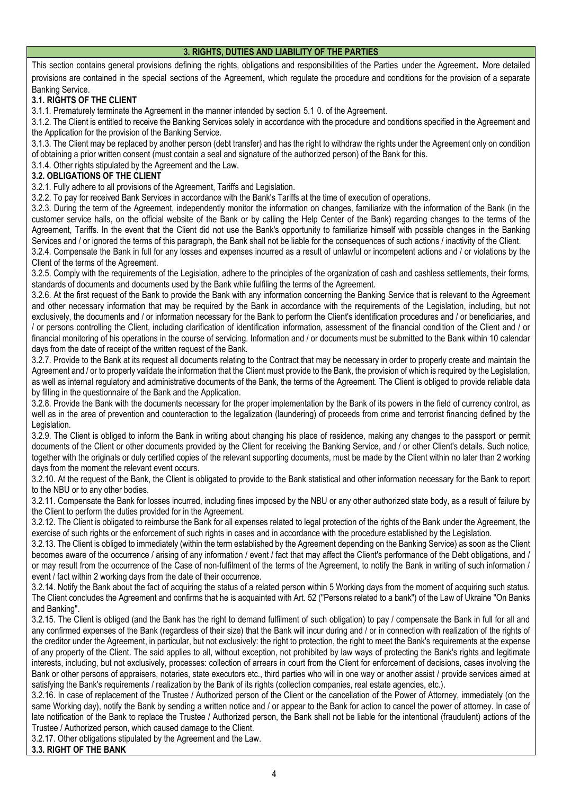### **3. RIGHTS, DUTIES AND LIABILITY OF THE PARTIES**

This section contains general provisions defining the rights, obligations and responsibilities of the Parties under the Agreement. More detailed provisions are contained in the special sections of the Agreement, which regulate the procedure and conditions for the provision of a separate Banking Service.

# **3.1. RIGHTS OF THE CLIENT**

3.1.1. Prematurely terminate the Agreement in the manner intended by section 5.1 0. of the Agreement.

3.1.2. The Client is entitled to receive the Banking Services solely in accordance with the procedure and conditions specified in the Agreement and the Application for the provision of the Banking Service.

3.1.3. The Client may be replaced by another person (debt transfer) and has the right to withdraw the rights under the Agreement only on condition of obtaining a prior written consent (must contain a seal and signature of the authorized person) of the Bank for this.

3.1.4. Other rights stipulated by the Agreement and the Law.

### **3.2. OBLIGATIONS OF THE CLIENT**

3.2.1. Fully adhere to all provisions of the Agreement, Tariffs and Legislation.

3.2.2. To pay for received Bank Services in accordance with the Bank's Tariffs at the time of execution of operations.

3.2.3. During the term of the Agreement, independently monitor the information on changes, familiarize with the information of the Bank (in the customer service halls, on the official website of the Bank or by calling the Help Center of the Bank) regarding changes to the terms of the Agreement, Tariffs. In the event that the Client did not use the Bank's opportunity to familiarize himself with possible changes in the Banking Services and / or ignored the terms of this paragraph, the Bank shall not be liable for the consequences of such actions / inactivity of the Client.

3.2.4. Compensate the Bank in full for any losses and expenses incurred as a result of unlawful or incompetent actions and / or violations by the Client of the terms of the Agreement.

3.2.5. Comply with the requirements of the Legislation, adhere to the principles of the organization of cash and cashless settlements, their forms, standards of documents and documents used by the Bank while fulfiling the terms of the Agreement.

3.2.6. At the first request of the Bank to provide the Bank with any information concerning the Banking Service that is relevant to the Agreement and other necessary information that may be required by the Bank in accordance with the requirements of the Legislation, including, but not exclusively, the documents and / or information necessary for the Bank to perform the Client's identification procedures and / or beneficiaries, and / or persons controlling the Client, including clarification of identification information, assessment of the financial condition of the Client and / or financial monitoring of his operations in the course of servicing. Information and / or documents must be submitted to the Bank within 10 calendar days from the date of receipt of the written request of the Bank.

3.2.7. Provide to the Bank at its request all documents relating to the Contract that may be necessary in order to properly create and maintain the Agreement and / or to properly validate the information that the Client must provide to the Bank, the provision of which is required by the Legislation, as well as internal regulatory and administrative documents of the Bank, the terms of the Agreement. The Client is obliged to provide reliable data by filling in the questionnaire of the Bank and the Application.

3.2.8. Provide the Bank with the documents necessary for the proper implementation by the Bank of its powers in the field of currency control, as well as in the area of prevention and counteraction to the legalization (laundering) of proceeds from crime and terrorist financing defined by the Legislation.

3.2.9. The Client is obliged to inform the Bank in writing about changing his place of residence, making any changes to the passport or permit documents of the Client or other documents provided by the Client for receiving the Banking Service, and / or other Client's details. Such notice, together with the originals or duly certified copies of the relevant supporting documents, must be made by the Client within no later than 2 working days from the moment the relevant event occurs.

3.2.10. At the request of the Bank, the Client is obligated to provide to the Bank statistical and other information necessary for the Bank to report to the NBU or to any other bodies.

3.2.11. Compensate the Bank for losses incurred, including fines imposed by the NBU or any other authorized state body, as a result of failure by the Client to perform the duties provided for in the Agreement.

3.2.12. The Client is obligated to reimburse the Bank for all expenses related to legal protection of the rights of the Bank under the Agreement, the exercise of such rights or the enforcement of such rights in cases and in accordance with the procedure established by the Legislation.

3.2.13. The Client is obliged to immediately (within the term established by the Agreement depending on the Banking Service) as soon as the Client becomes aware of the occurrence / arising of any information / event / fact that may affect the Client's performance of the Debt obligations, and / or may result from the occurrence of the Case of non-fulfilment of the terms of the Agreement, to notify the Bank in writing of such information / event / fact within 2 working days from the date of their occurrence.

3.2.14. Notify the Bank about the fact of acquiring the status of a related person within 5 Working days from the moment of acquiring such status. The Client concludes the Agreement and confirms that he is acquainted with Art. 52 ("Persons related to a bank") of the Law of Ukraine "On Banks and Banking".

3.2.15. The Client is obliged (and the Bank has the right to demand fulfilment of such obligation) to pay / compensate the Bank in full for all and any confirmed expenses of the Bank (regardless of their size) that the Bank will incur during and / or in connection with realization of the rights of the creditor under the Agreement, in particular, but not exclusively: the right to protection, the right to meet the Bank's requirements at the expense of any property of the Client. The said applies to all, without exception, not prohibited by law ways of protecting the Bank's rights and legitimate interests, including, but not exclusively, processes: collection of arrears in court from the Client for enforcement of decisions, cases involving the Bank or other persons of appraisers, notaries, state executors etc., third parties who will in one way or another assist / provide services aimed at satisfying the Bank's requirements / realization by the Bank of its rights (collection companies, real estate agencies, etc.).

3.2.16. In case of replacement of the Trustee / Authorized person of the Client or the cancellation of the Power of Attorney, immediately (on the same Working day), notify the Bank by sending a written notice and / or appear to the Bank for action to cancel the power of attorney. In case of late notification of the Bank to replace the Trustee / Authorized person, the Bank shall not be liable for the intentional (fraudulent) actions of the Trustee / Authorized person, which caused damage to the Client.

3.2.17. Other obligations stipulated by the Agreement and the Law.

### **3.3. RIGHT OF THE BANK**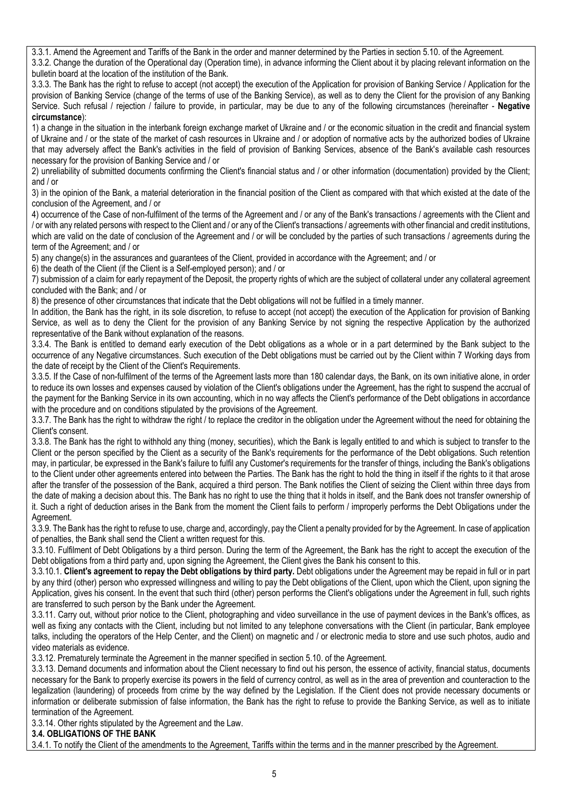3.3.1. Amend the Agreement and Tariffs of the Bank in the order and manner determined by the Parties in section 5.10. of the Agreement.

3.3.2. Change the duration of the Operational day (Operation time), in advance informing the Client about it by placing relevant information on the bulletin board at the location of the institution of the Bank.

3.3.3. The Bank has the right to refuse to accept (not accept) the execution of the Application for provision of Banking Service / Application for the provision of Banking Service (change of the terms of use of the Banking Service), as well as to deny the Client for the provision of any Banking Service. Such refusal / rejection / failure to provide, in particular, may be due to any of the following circumstances (hereinafter - **Negative circumstance**):

1) a change in the situation in the interbank foreign exchange market of Ukraine and / or the economic situation in the credit and financial system of Ukraine and / or the state of the market of cash resources in Ukraine and / or adoption of normative acts by the authorized bodies of Ukraine that may adversely affect the Bank's activities in the field of provision of Banking Services, absence of the Bank's available cash resources necessary for the provision of Banking Service and / or

2) unreliability of submitted documents confirming the Client's financial status and / or other information (documentation) provided by the Client; and / or

3) in the opinion of the Bank, a material deterioration in the financial position of the Client as compared with that which existed at the date of the conclusion of the Agreement, and / or

4) occurrence of the Case of non-fulfilment of the terms of the Agreement and / or any of the Bank's transactions / agreements with the Client and / or with any related persons with respect to the Client and / or any of the Client's transactions / agreements with other financial and credit institutions, which are valid on the date of conclusion of the Agreement and / or will be concluded by the parties of such transactions / agreements during the term of the Agreement; and / or

5) any change(s) in the assurances and guarantees of the Client, provided in accordance with the Agreement; and / or

6) the death of the Client (if the Client is a Self-employed person); and / or

7) submission of a claim for early repayment of the Deposit, the property rights of which are the subject of collateral under any collateral agreement concluded with the Bank; and / or

8) the presence of other circumstances that indicate that the Debt obligations will not be fulfiled in a timely manner.

In addition, the Bank has the right, in its sole discretion, to refuse to accept (not accept) the execution of the Application for provision of Banking Service, as well as to deny the Client for the provision of any Banking Service by not signing the respective Application by the authorized representative of the Bank without explanation of the reasons.

3.3.4. The Bank is entitled to demand early execution of the Debt obligations as a whole or in a part determined by the Bank subject to the occurrence of any Negative circumstances. Such execution of the Debt obligations must be carried out by the Client within 7 Working days from the date of receipt by the Client of the Client's Requirements.

3.3.5. If the Case of non-fulfilment of the terms of the Agreement lasts more than 180 calendar days, the Bank, on its own initiative alone, in order to reduce its own losses and expenses caused by violation of the Client's obligations under the Agreement, has the right to suspend the accrual of the payment for the Banking Service in its own accounting, which in no way affects the Client's performance of the Debt obligations in accordance with the procedure and on conditions stipulated by the provisions of the Agreement.

3.3.7. The Bank has the right to withdraw the right / to replace the creditor in the obligation under the Agreement without the need for obtaining the Client's consent.

3.3.8. The Bank has the right to withhold any thing (money, securities), which the Bank is legally entitled to and which is subject to transfer to the Client or the person specified by the Client as a security of the Bank's requirements for the performance of the Debt obligations. Such retention may, in particular, be expressed in the Bank's failure to fulfil any Customer's requirements for the transfer of things, including the Bank's obligations to the Client under other agreements entered into between the Parties. The Bank has the right to hold the thing in itself if the rights to it that arose after the transfer of the possession of the Bank, acquired a third person. The Bank notifies the Client of seizing the Client within three days from the date of making a decision about this. The Bank has no right to use the thing that it holds in itself, and the Bank does not transfer ownership of it. Such a right of deduction arises in the Bank from the moment the Client fails to perform / improperly performs the Debt Obligations under the Agreement.

3.3.9. The Bank has the right to refuse to use, charge and, accordingly, pay the Client a penalty provided for by the Agreement. In case of application of penalties, the Bank shall send the Client a written request for this.

3.3.10. Fulfilment of Debt Obligations by a third person. During the term of the Agreement, the Bank has the right to accept the execution of the Debt obligations from a third party and, upon signing the Agreement, the Client gives the Bank his consent to this.

3.3.10.1. **Client's agreement to repay the Debt obligations by third party.** Debt obligations under the Agreement may be repaid in full or in part by any third (other) person who expressed willingness and willing to pay the Debt obligations of the Client, upon which the Client, upon signing the Application, gives his consent. In the event that such third (other) person performs the Client's obligations under the Agreement in full, such rights are transferred to such person by the Bank under the Agreement.

3.3.11. Carry out, without prior notice to the Client, photographing and video surveillance in the use of payment devices in the Bank's offices, as well as fixing any contacts with the Client, including but not limited to any telephone conversations with the Client (in particular, Bank employee talks, including the operators of the Help Center, and the Client) on magnetic and / or electronic media to store and use such photos, audio and video materials as evidence.

3.3.12. Prematurely terminate the Agreement in the manner specified in section 5.10. of the Agreement.

3.3.13. Demand documents and information about the Client necessary to find out his person, the essence of activity, financial status, documents necessary for the Bank to properly exercise its powers in the field of currency control, as well as in the area of prevention and counteraction to the legalization (laundering) of proceeds from crime by the way defined by the Legislation. If the Client does not provide necessary documents or information or deliberate submission of false information, the Bank has the right to refuse to provide the Banking Service, as well as to initiate termination of the Agreement.

3.3.14. Other rights stipulated by the Agreement and the Law.

**3.4. OBLIGATIONS OF THE BANK**

3.4.1. To notify the Client of the amendments to the Agreement, Tariffs within the terms and in the manner prescribed by the Agreement.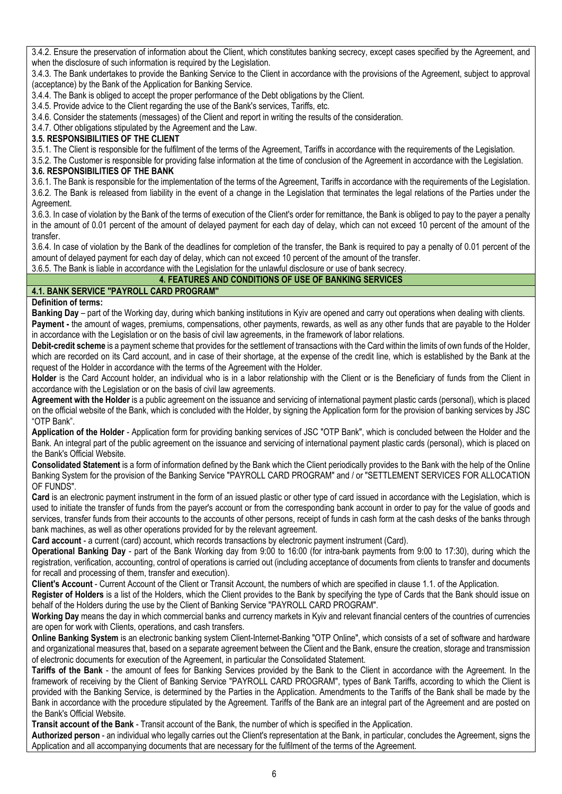3.4.2. Ensure the preservation of information about the Client, which constitutes banking secrecy, except cases specified by the Agreement, and when the disclosure of such information is required by the Legislation.

3.4.3. The Bank undertakes to provide the Banking Service to the Client in accordance with the provisions of the Agreement, subject to approval (acceptance) by the Bank of the Application for Banking Service.

3.4.4. The Bank is obliged to accept the proper performance of the Debt obligations by the Client.

3.4.5. Provide advice to the Client regarding the use of the Bank's services, Tariffs, etc.

3.4.6. Consider the statements (messages) of the Client and report in writing the results of the consideration.

3.4.7. Other obligations stipulated by the Agreement and the Law.

### **3.5. RESPONSIBILITIES OF THE CLIENT**

3.5.1. The Client is responsible for the fulfilment of the terms of the Agreement, Tariffs in accordance with the requirements of the Legislation.

3.5.2. The Customer is responsible for providing false information at the time of conclusion of the Agreement in accordance with the Legislation.

# **3.6. RESPONSIBILITIES OF THE BANK**

3.6.1. The Bank is responsible for the implementation of the terms of the Agreement, Tariffs in accordance with the requirements of the Legislation. 3.6.2. The Bank is released from liability in the event of a change in the Legislation that terminates the legal relations of the Parties under the Agreement.

3.6.3. In case of violation by the Bank of the terms of execution of the Client's order for remittance, the Bank is obliged to pay to the payer a penalty in the amount of 0.01 percent of the amount of delayed payment for each day of delay, which can not exceed 10 percent of the amount of the transfer.

3.6.4. In case of violation by the Bank of the deadlines for completion of the transfer, the Bank is required to pay a penalty of 0.01 percent of the amount of delayed payment for each day of delay, which can not exceed 10 percent of the amount of the transfer.

3.6.5. The Bank is liable in accordance with the Legislation for the unlawful disclosure or use of bank secrecy.

### **4. FEATURES AND CONDITIONS OF USE OF BANKING SERVICES**

# **4.1. BANK SERVICE "PAYROLL CARD PROGRAM"**

**Definition of terms:**

**Banking Day** – part of the Working day, during which banking institutions in Kyiv are opened and carry out operations when dealing with clients. **Payment -** the amount of wages, premiums, compensations, other payments, rewards, as well as any other funds that are payable to the Holder in accordance with the Legislation or on the basis of civil law agreements, in the framework of labor relations.

**Debit-credit scheme** is a payment scheme that provides for the settlement of transactions with the Card within the limits of own funds of the Holder, which are recorded on its Card account, and in case of their shortage, at the expense of the credit line, which is established by the Bank at the request of the Holder in accordance with the terms of the Agreement with the Holder.

**Holder** is the Card Account holder, an individual who is in a labor relationship with the Client or is the Beneficiary of funds from the Client in accordance with the Legislation or on the basis of civil law agreements.

**Agreement with the Holder** is a public agreement on the issuance and servicing of international payment plastic cards (personal), which is placed on the official website of the Bank, which is concluded with the Holder, by signing the Application form for the provision of banking services by JSC "OTP Bank".

**Application of the Holder** - Application form for providing banking services of JSC "OTP Bank", which is concluded between the Holder and the Bank. An integral part of the public agreement on the issuance and servicing of international payment plastic cards (personal), which is placed on the Bank's Official Website.

**Consolidated Statement** is a form of information defined by the Bank which the Client periodically provides to the Bank with the help of the Online Banking System for the provision of the Banking Service "PAYROLL CARD PROGRAM" and / or "SETTLEMENT SERVICES FOR ALLOCATION OF FUNDS".

**Card** is an electronic payment instrument in the form of an issued plastic or other type of card issued in accordance with the Legislation, which is used to initiate the transfer of funds from the payer's account or from the corresponding bank account in order to pay for the value of goods and services, transfer funds from their accounts to the accounts of other persons, receipt of funds in cash form at the cash desks of the banks through bank machines, as well as other operations provided for by the relevant agreement.

**Card account** - a current (card) account, which records transactions by electronic payment instrument (Card).

**Operational Banking Day** - part of the Bank Working day from 9:00 to 16:00 (for intra-bank payments from 9:00 to 17:30), during which the registration, verification, accounting, control of operations is carried out (including acceptance of documents from clients to transfer and documents for recall and processing of them, transfer and execution).

**Client's Account** - Current Account of the Client or Transit Account, the numbers of which are specified in clause 1.1. of the Application.

**Register of Holders** is a list of the Holders, which the Client provides to the Bank by specifying the type of Cards that the Bank should issue on behalf of the Holders during the use by the Client of Banking Service "PAYROLL CARD PROGRAM".

**Working Day** means the day in which commercial banks and currency markets in Kyiv and relevant financial centers of the countries of currencies are open for work with Clients, operations, and cash transfers.

**Online Banking System** is an electronic banking system Client-Internet-Banking "OTP Online", which consists of a set of software and hardware and organizational measures that, based on a separate agreement between the Client and the Bank, ensure the creation, storage and transmission of electronic documents for execution of the Agreement, in particular the Consolidated Statement.

**Tariffs of the Bank** - the amount of fees for Banking Services provided by the Bank to the Client in accordance with the Agreement. In the framework of receiving by the Client of Banking Service "PAYROLL CARD PROGRAM", types of Bank Tariffs, according to which the Client is provided with the Banking Service, is determined by the Parties in the Application. Amendments to the Tariffs of the Bank shall be made by the Bank in accordance with the procedure stipulated by the Agreement. Tariffs of the Bank are an integral part of the Agreement and are posted on the Bank's Official Website.

**Transit account of the Bank** - Transit account of the Bank, the number of which is specified in the Application.

**Authorized person** - an individual who legally carries out the Client's representation at the Bank, in particular, concludes the Agreement, signs the Application and all accompanying documents that are necessary for the fulfilment of the terms of the Agreement.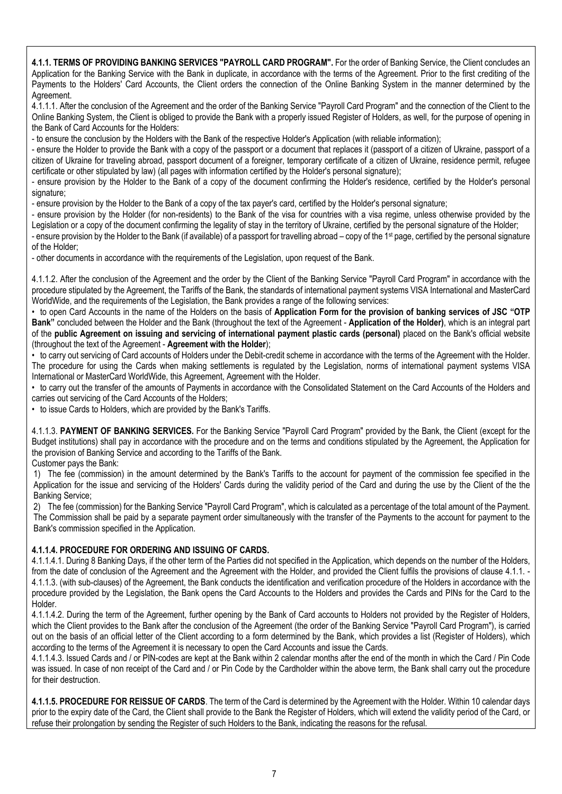**4.1.1. TERMS OF PROVIDING BANKING SERVICES "PAYROLL CARD PROGRAM".** For the order of Banking Service, the Client concludes an Application for the Banking Service with the Bank in duplicate, in accordance with the terms of the Agreement. Prior to the first crediting of the Payments to the Holders' Card Accounts, the Client orders the connection of the Online Banking System in the manner determined by the Agreement.

4.1.1.1. After the conclusion of the Agreement and the order of the Banking Service "Payroll Card Program" and the connection of the Client to the Online Banking System, the Client is obliged to provide the Bank with a properly issued Register of Holders, as well, for the purpose of opening in the Bank of Card Accounts for the Holders:

- to ensure the conclusion by the Holders with the Bank of the respective Holder's Application (with reliable information);

- ensure the Holder to provide the Bank with a copy of the passport or a document that replaces it (passport of a citizen of Ukraine, passport of a citizen of Ukraine for traveling abroad, passport document of a foreigner, temporary certificate of a citizen of Ukraine, residence permit, refugee certificate or other stipulated by law) (all pages with information certified by the Holder's personal signature);

- ensure provision by the Holder to the Bank of a copy of the document confirming the Holder's residence, certified by the Holder's personal signature:

- ensure provision by the Holder to the Bank of a copy of the tax payer's card, certified by the Holder's personal signature;

- ensure provision by the Holder (for non-residents) to the Bank of the visa for countries with a visa regime, unless otherwise provided by the Legislation or a copy of the document confirming the legality of stay in the territory of Ukraine, certified by the personal signature of the Holder;

- ensure provision by the Holder to the Bank (if available) of a passport for travelling abroad – copy of the 1st page, certified by the personal signature of the Holder;

- other documents in accordance with the requirements of the Legislation, upon request of the Bank.

4.1.1.2. After the conclusion of the Agreement and the order by the Client of the Banking Service "Payroll Card Program" in accordance with the procedure stipulated by the Agreement, the Tariffs of the Bank, the standards of international payment systems VISA International and MasterCard WorldWide, and the requirements of the Legislation, the Bank provides a range of the following services:

• to open Card Accounts in the name of the Holders on the basis of **Application Form for the provision of banking services of JSC "OTP Bank"** concluded between the Holder and the Bank (throughout the text of the Agreement - **Application of the Holder)**, which is an integral part of the **public Agreement on issuing and servicing of international payment plastic cards (personal)** placed on the Bank's official website (throughout the text of the Agreement - **Agreement with the Holder**);

• to carry out servicing of Card accounts of Holders under the Debit-credit scheme in accordance with the terms of the Agreement with the Holder. The procedure for using the Cards when making settlements is regulated by the Legislation, norms of international payment systems VISA International or MasterCard WorldWide, this Agreement, Agreement with the Holder.

• to carry out the transfer of the amounts of Payments in accordance with the Consolidated Statement on the Card Accounts of the Holders and carries out servicing of the Card Accounts of the Holders;

• to issue Cards to Holders, which are provided by the Bank's Tariffs.

4.1.1.3. **PAYMENT OF BANKING SERVICES.** For the Banking Service "Payroll Card Program" provided by the Bank, the Client (except for the Budget institutions) shall pay in accordance with the procedure and on the terms and conditions stipulated by the Agreement, the Application for the provision of Banking Service and according to the Tariffs of the Bank.

Customer pays the Bank:

1) The fee (commission) in the amount determined by the Bank's Tariffs to the account for payment of the commission fee specified in the Application for the issue and servicing of the Holders' Cards during the validity period of the Card and during the use by the Client of the the Banking Service;

2) The fee (commission) for the Banking Service "Payroll Card Program", which is calculated as a percentage of the total amount of the Payment. The Commission shall be paid by a separate payment order simultaneously with the transfer of the Payments to the account for payment to the Bank's commission specified in the Application.

### **4.1.1.4. PROCEDURE FOR ORDERING AND ISSUING OF CARDS.**

4.1.1.4.1. During 8 Banking Days, if the other term of the Parties did not specified in the Application, which depends on the number of the Holders, from the date of conclusion of the Agreement and the Agreement with the Holder, and provided the Client fulfils the provisions of clause 4.1.1. -4.1.1.3. (with sub-clauses) of the Agreement, the Bank conducts the identification and verification procedure of the Holders in accordance with the procedure provided by the Legislation, the Bank opens the Card Accounts to the Holders and provides the Cards and PINs for the Card to the Holder.

4.1.1.4.2. During the term of the Agreement, further opening by the Bank of Card accounts to Holders not provided by the Register of Holders, which the Client provides to the Bank after the conclusion of the Agreement (the order of the Banking Service "Payroll Card Program"), is carried out on the basis of an official letter of the Client according to a form determined by the Bank, which provides a list (Register of Holders), which according to the terms of the Agreement it is necessary to open the Card Accounts and issue the Cards.

4.1.1.4.3. Issued Cards and / or PIN-codes are kept at the Bank within 2 calendar months after the end of the month in which the Card / Pin Code was issued. In case of non receipt of the Card and / or Pin Code by the Cardholder within the above term, the Bank shall carry out the procedure for their destruction.

**4.1.1.5. PROCEDURE FOR REISSUE OF CARDS**. The term of the Card is determined by the Agreement with the Holder. Within 10 calendar days prior to the expiry date of the Card, the Client shall provide to the Bank the Register of Holders, which will extend the validity period of the Card, or refuse their prolongation by sending the Register of such Holders to the Bank, indicating the reasons for the refusal.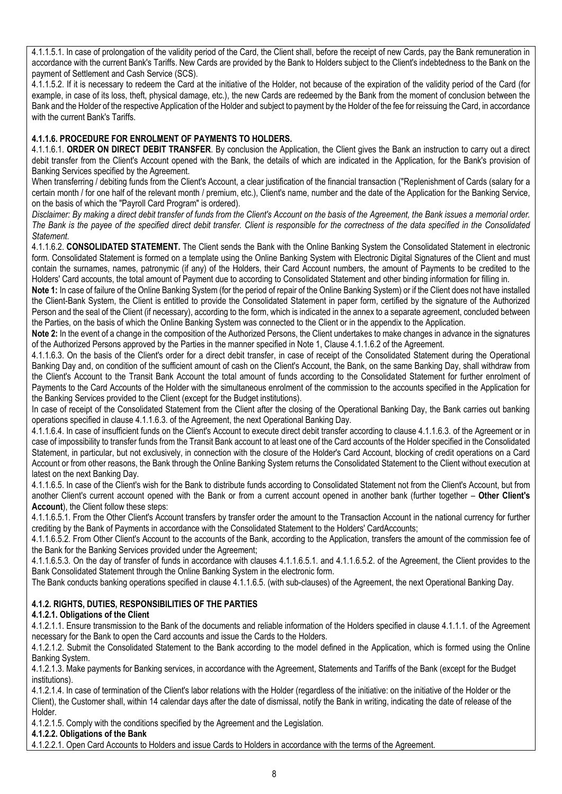4.1.1.5.1. In case of prolongation of the validity period of the Card, the Client shall, before the receipt of new Cards, pay the Bank remuneration in accordance with the current Bank's Tariffs. New Cards are provided by the Bank to Holders subject to the Client's indebtedness to the Bank on the payment of Settlement and Cash Service (SCS).

4.1.1.5.2. If it is necessary to redeem the Card at the initiative of the Holder, not because of the expiration of the validity period of the Card (for example, in case of its loss, theft, physical damage, etc.), the new Cards are redeemed by the Bank from the moment of conclusion between the Bank and the Holder of the respective Application of the Holder and subject to payment by the Holder of the fee for reissuing the Card, in accordance with the current Bank's Tariffs.

# **4.1.1.6. PROCEDURE FOR ENROLMENT OF PAYMENTS TO HOLDERS.**

4.1.1.6.1. **ORDER ON DIRECT DEBIT TRANSFER**. By conclusion the Application, the Client gives the Bank an instruction to carry out a direct debit transfer from the Client's Account opened with the Bank, the details of which are indicated in the Application, for the Bank's provision of Banking Services specified by the Agreement.

When transferring / debiting funds from the Client's Account, a clear justification of the financial transaction ("Replenishment of Cards (salary for a certain month / for one half of the relevant month / premium, etc.), Client's name, number and the date of the Application for the Banking Service, on the basis of which the "Payroll Card Program" is ordered).

*Disclaimer: By making a direct debit transfer of funds from the Client's Account on the basis of the Agreement, the Bank issues a memorial order. The Bank is the payee of the specified direct debit transfer. Client is responsible for the correctness of the data specified in the Consolidated Statement.*

4.1.1.6.2. **CONSOLIDATED STATEMENT.** The Client sends the Bank with the Online Banking System the Consolidated Statement in electronic form. Consolidated Statement is formed on a template using the Online Banking System with Electronic Digital Signatures of the Client and must contain the surnames, names, patronymic (if any) of the Holders, their Card Account numbers, the amount of Payments to be credited to the Holders' Card accounts, the total amount of Payment due to according to Consolidated Statement and other binding information for filling in.

**Note 1:** In case of failure of the Online Banking System (for the period of repair of the Online Banking System) or if the Client does not have installed the Client-Bank System, the Client is entitled to provide the Consolidated Statement in paper form, certified by the signature of the Authorized Person and the seal of the Client (if necessary), according to the form, which is indicated in the annex to a separate agreement, concluded between the Parties, on the basis of which the Online Banking System was connected to the Client or in the appendix to the Application.

**Note 2:** In the event of a change in the composition of the Authorized Persons, the Client undertakes to make changes in advance in the signatures of the Authorized Persons approved by the Parties in the manner specified in Note 1, Clause 4.1.1.6.2 of the Agreement.

4.1.1.6.3. On the basis of the Client's order for a direct debit transfer, in case of receipt of the Consolidated Statement during the Operational Banking Day and, on condition of the sufficient amount of cash on the Client's Account, the Bank, on the same Banking Day, shall withdraw from the Client's Account to the Transit Bank Account the total amount of funds according to the Consolidated Statement for further enrolment of Payments to the Card Accounts of the Holder with the simultaneous enrolment of the commission to the accounts specified in the Application for the Banking Services provided to the Client (except for the Budget institutions).

In case of receipt of the Consolidated Statement from the Client after the closing of the Operational Banking Day, the Bank carries out banking operations specified in clause 4.1.1.6.3. of the Agreement, the next Operational Banking Day.

4.1.1.6.4. In case of insufficient funds on the Client's Account to execute direct debit transfer according to clause 4.1.1.6.3. of the Agreement or in case of impossibility to transfer funds from the Transit Bank account to at least one of the Card accounts of the Holder specified in the Consolidated Statement, in particular, but not exclusively, in connection with the closure of the Holder's Card Account, blocking of credit operations on a Card Account or from other reasons, the Bank through the Online Banking System returns the Consolidated Statement to the Client without execution at latest on the next Banking Day.

4.1.1.6.5. In case of the Client's wish for the Bank to distribute funds according to Consolidated Statement not from the Client's Account, but from another Client's current account opened with the Bank or from a current account opened in another bank (further together – **Other Client's Account**), the Client follow these steps:

4.1.1.6.5.1. From the Other Client's Account transfers by transfer order the amount to the Transaction Account in the national currency for further crediting by the Bank of Payments in accordance with the Consolidated Statement to the Holders' CardAccounts;

4.1.1.6.5.2. From Other Client's Account to the accounts of the Bank, according to the Application, transfers the amount of the commission fee of the Bank for the Banking Services provided under the Agreement;

4.1.1.6.5.3. On the day of transfer of funds in accordance with clauses 4.1.1.6.5.1. and 4.1.1.6.5.2. of the Agreement, the Client provides to the Bank Consolidated Statement through the Online Banking System in the electronic form.

The Bank conducts banking operations specified in clause 4.1.1.6.5. (with sub-clauses) of the Agreement, the next Operational Banking Day.

# **4.1.2. RIGHTS, DUTIES, RESPONSIBILITIES OF THE PARTIES**

# **4.1.2.1. Obligations of the Client**

4.1.2.1.1. Ensure transmission to the Bank of the documents and reliable information of the Holders specified in clause 4.1.1.1. of the Agreement necessary for the Bank to open the Card accounts and issue the Cards to the Holders.

4.1.2.1.2. Submit the Consolidated Statement to the Bank according to the model defined in the Application, which is formed using the Online Banking System.

4.1.2.1.3. Make payments for Banking services, in accordance with the Agreement, Statements and Tariffs of the Bank (except for the Budget institutions).

4.1.2.1.4. In case of termination of the Client's labor relations with the Holder (regardless of the initiative: on the initiative of the Holder or the Client), the Customer shall, within 14 calendar days after the date of dismissal, notify the Bank in writing, indicating the date of release of the Holder.

4.1.2.1.5. Comply with the conditions specified by the Agreement and the Legislation.

#### **4.1.2.2. Obligations of the Bank**

4.1.2.2.1. Open Card Accounts to Holders and issue Cards to Holders in accordance with the terms of the Agreement.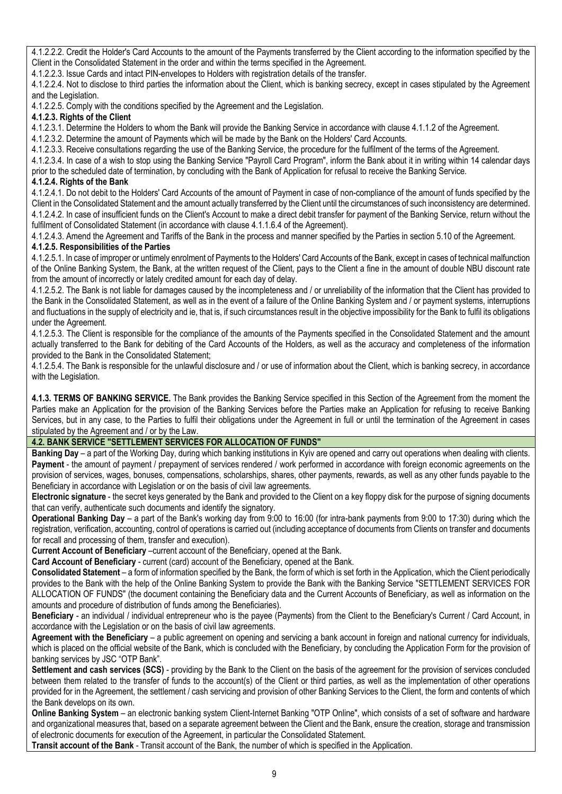4.1.2.2.2. Credit the Holder's Card Accounts to the amount of the Payments transferred by the Client according to the information specified by the Client in the Consolidated Statement in the order and within the terms specified in the Agreement.

4.1.2.2.3. Issue Cards and intact PIN-envelopes to Holders with registration details of the transfer.

4.1.2.2.4. Not to disclose to third parties the information about the Client, which is banking secrecy, except in cases stipulated by the Agreement and the Legislation.

4.1.2.2.5. Comply with the conditions specified by the Agreement and the Legislation.

### **4.1.2.3. Rights of the Client**

4.1.2.3.1. Determine the Holders to whom the Bank will provide the Banking Service in accordance with clause 4.1.1.2 of the Agreement.

4.1.2.3.2. Determine the amount of Payments which will be made by the Bank on the Holders' Card Accounts.

4.1.2.3.3. Receive consultations regarding the use of the Banking Service, the procedure for the fulfilment of the terms of the Agreement.

4.1.2.3.4. In case of a wish to stop using the Banking Service "Payroll Card Program", inform the Bank about it in writing within 14 calendar days prior to the scheduled date of termination, by concluding with the Bank of Application for refusal to receive the Banking Service.

### **4.1.2.4. Rights of the Bank**

4.1.2.4.1. Do not debit to the Holders' Card Accounts of the amount of Payment in case of non-compliance of the amount of funds specified by the Client in the Consolidated Statement and the amount actually transferred by the Client until the circumstances of such inconsistency are determined. 4.1.2.4.2. In case of insufficient funds on the Client's Account to make a direct debit transfer for payment of the Banking Service, return without the fulfilment of Consolidated Statement (in accordance with clause 4.1.1.6.4 of the Agreement).

4.1.2.4.3. Amend the Agreement and Tariffs of the Bank in the process and manner specified by the Parties in section 5.10 of the Agreement. **4.1.2.5. Responsibilities of the Parties**

4.1.2.5.1. In case of improper or untimely enrolment of Payments to the Holders' Card Accounts of the Bank, except in cases of technical malfunction of the Online Banking System, the Bank, at the written request of the Client, pays to the Client a fine in the amount of double NBU discount rate from the amount of incorrectly or lately credited amount for each day of delay.

4.1.2.5.2. The Bank is not liable for damages caused by the incompleteness and / or unreliability of the information that the Client has provided to the Bank in the Consolidated Statement, as well as in the event of a failure of the Online Banking System and / or payment systems, interruptions and fluctuations in the supply of electricity and ie, that is, if such circumstances result in the objective impossibility for the Bank to fulfil its obligations under the Agreement.

4.1.2.5.3. The Client is responsible for the compliance of the amounts of the Payments specified in the Consolidated Statement and the amount actually transferred to the Bank for debiting of the Card Accounts of the Holders, as well as the accuracy and completeness of the information provided to the Bank in the Consolidated Statement;

4.1.2.5.4. The Bank is responsible for the unlawful disclosure and / or use of information about the Client, which is banking secrecy, in accordance with the Legislation.

**4.1.3. TERMS OF BANKING SERVICE.** The Bank provides the Banking Service specified in this Section of the Agreement from the moment the Parties make an Application for the provision of the Banking Services before the Parties make an Application for refusing to receive Banking Services, but in any case, to the Parties to fulfil their obligations under the Agreement in full or until the termination of the Agreement in cases stipulated by the Agreement and / or by the Law.

# **4.2. BANK SERVICE "SETTLEMENT SERVICES FOR ALLOCATION OF FUNDS"**

**Banking Day** – a part of the Working Day, during which banking institutions in Kyiv are opened and carry out operations when dealing with clients. **Payment** - the amount of payment / prepayment of services rendered / work performed in accordance with foreign economic agreements on the provision of services, wages, bonuses, compensations, scholarships, shares, other payments, rewards, as well as any other funds payable to the Beneficiary in accordance with Legislation or on the basis of civil law agreements.

**Electronic signature** - the secret keys generated by the Bank and provided to the Client on a key floppy disk for the purpose of signing documents that can verify, authenticate such documents and identify the signatory.

**Operational Banking Day** – a part of the Bank's working day from 9:00 to 16:00 (for intra-bank payments from 9:00 to 17:30) during which the registration, verification, accounting, control of operations is carried out (including acceptance of documents from Clients on transfer and documents for recall and processing of them, transfer and execution).

**Current Account of Beneficiary** –current account of the Beneficiary, opened at the Bank.

**Card Account of Beneficiary** - current (card) account of the Beneficiary, opened at the Bank.

**Consolidated Statement** – a form of information specified by the Bank, the form of which is set forth in the Application, which the Client periodically provides to the Bank with the help of the Online Banking System to provide the Bank with the Banking Service "SETTLEMENT SERVICES FOR ALLOCATION OF FUNDS" (the document containing the Beneficiary data and the Current Accounts of Beneficiary, as well as information on the amounts and procedure of distribution of funds among the Beneficiaries).

**Beneficiary** - an individual / individual entrepreneur who is the payee (Payments) from the Client to the Beneficiary's Current / Card Account, in accordance with the Legislation or on the basis of civil law agreements.

**Agreement with the Beneficiary** – a public agreement on opening and servicing a bank account in foreign and national currency for individuals, which is placed on the official website of the Bank, which is concluded with the Beneficiary, by concluding the Application Form for the provision of banking services by JSC "OTP Bank".

**Settlement and cash services (SCS)** - providing by the Bank to the Client on the basis of the agreement for the provision of services concluded between them related to the transfer of funds to the account(s) of the Client or third parties, as well as the implementation of other operations provided for in the Agreement, the settlement / cash servicing and provision of other Banking Services to the Client, the form and contents of which the Bank develops on its own.

**Online Banking System** – an electronic banking system Client-Internet Banking "OTP Online", which consists of a set of software and hardware and organizational measures that, based on a separate agreement between the Client and the Bank, ensure the creation, storage and transmission of electronic documents for execution of the Agreement, in particular the Consolidated Statement.

**Transit account of the Bank** - Transit account of the Bank, the number of which is specified in the Application.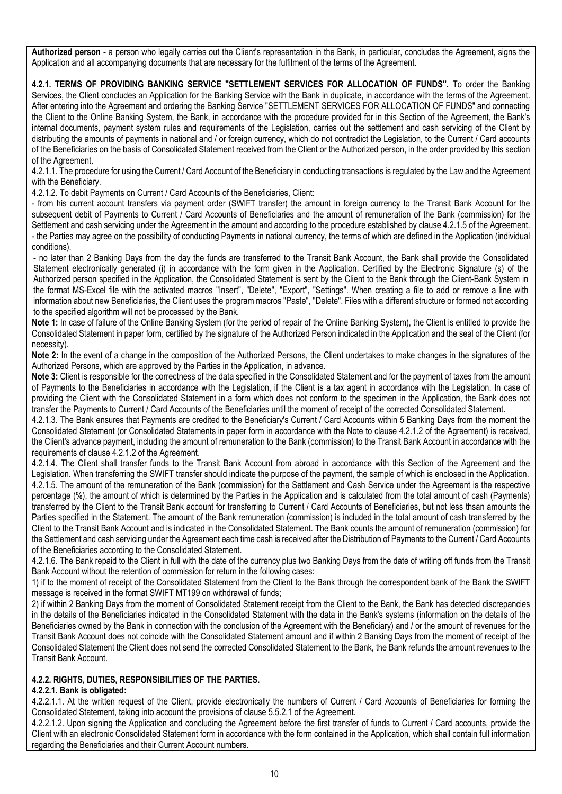**Authorized person** - a person who legally carries out the Client's representation in the Bank, in particular, concludes the Agreement, signs the Application and all accompanying documents that are necessary for the fulfilment of the terms of the Agreement.

**4.2.1. TERMS OF PROVIDING BANKING SERVICE "SETTLEMENT SERVICES FOR ALLOCATION OF FUNDS".** To order the Banking Services, the Client concludes an Application for the Banking Service with the Bank in duplicate, in accordance with the terms of the Agreement. After entering into the Agreement and ordering the Banking Service "SETTLEMENT SERVICES FOR ALLOCATION OF FUNDS" and connecting the Client to the Online Banking System, the Bank, in accordance with the procedure provided for in this Section of the Agreement, the Bank's internal documents, payment system rules and requirements of the Legislation, carries out the settlement and cash servicing of the Client by distributing the amounts of payments in national and / or foreign currency, which do not contradict the Legislation, to the Current / Card accounts of the Beneficiaries on the basis of Consolidated Statement received from the Client or the Authorized person, in the order provided by this section of the Agreement.

4.2.1.1. The procedure for using the Current / Card Account of the Beneficiary in conducting transactions is regulated by the Law and the Agreement with the Beneficiary.

4.2.1.2. To debit Payments on Current / Card Accounts of the Beneficiaries, Client:

- from his current account transfers via payment order (SWIFT transfer) the amount in foreign currency to the Transit Bank Account for the subsequent debit of Payments to Current / Card Accounts of Beneficiaries and the amount of remuneration of the Bank (commission) for the Settlement and cash servicing under the Agreement in the amount and according to the procedure established by clause 4.2.1.5 of the Agreement. - the Parties may agree on the possibility of conducting Payments in national currency, the terms of which are defined in the Application (individual conditions).

- no later than 2 Banking Days from the day the funds are transferred to the Transit Bank Account, the Bank shall provide the Consolidated Statement electronically generated (i) in accordance with the form given in the Application. Certified by the Electronic Signature (s) of the Authorized person specified in the Application, the Consolidated Statement is sent by the Client to the Bank through the Client-Bank System in the format MS-Excel file with the activated macros "Insert", "Delete", "Export", "Settings". When creating a file to add or remove a line with information about new Beneficiaries, the Client uses the program macros "Paste", "Delete". Files with a different structure or formed not according to the specified algorithm will not be processed by the Bank.

**Note 1:** In case of failure of the Online Banking System (for the period of repair of the Online Banking System), the Client is entitled to provide the Consolidated Statement in paper form, certified by the signature of the Authorized Person indicated in the Application and the seal of the Client (for necessity).

**Note 2:** In the event of a change in the composition of the Authorized Persons, the Client undertakes to make changes in the signatures of the Authorized Persons, which are approved by the Parties in the Application, in advance.

Note 3: Client is responsible for the correctness of the data specified in the Consolidated Statement and for the payment of taxes from the amount of Payments to the Beneficiaries in accordance with the Legislation, if the Client is a tax agent in accordance with the Legislation. In case of providing the Client with the Consolidated Statement in a form which does not conform to the specimen in the Application, the Bank does not transfer the Payments to Current / Card Accounts of the Beneficiaries until the moment of receipt of the corrected Consolidated Statement.

4.2.1.3. The Bank ensures that Payments are credited to the Beneficiary's Current / Card Accounts within 5 Banking Days from the moment the Consolidated Statement (or Consolidated Statements in paper form in accordance with the Note to clause 4.2.1.2 of the Agreement) is received, the Client's advance payment, including the amount of remuneration to the Bank (commission) to the Transit Bank Account in accordance with the requirements of clause 4.2.1.2 of the Agreement.

4.2.1.4. The Client shall transfer funds to the Transit Bank Account from abroad in accordance with this Section of the Agreement and the Legislation. When transferring the SWIFT transfer should indicate the purpose of the payment, the sample of which is enclosed in the Application. 4.2.1.5. The amount of the remuneration of the Bank (commission) for the Settlement and Cash Service under the Agreement is the respective percentage (%), the amount of which is determined by the Parties in the Application and is calculated from the total amount of cash (Payments) transferred by the Client to the Transit Bank account for transferring to Current / Card Accounts of Beneficiaries, but not less thsan amounts the Parties specified in the Statement. The amount of the Bank remuneration (commission) is included in the total amount of cash transferred by the Client to the Transit Bank Account and is indicated in the Consolidated Statement. The Bank counts the amount of remuneration (commission) for the Settlement and cash servicing under the Agreement each time cash is received after the Distribution of Payments to the Current / Card Accounts of the Beneficiaries according to the Consolidated Statement.

4.2.1.6. The Bank repaid to the Client in full with the date of the currency plus two Banking Days from the date of writing off funds from the Transit Bank Account without the retention of commission for return in the following cases:

1) if to the moment of receipt of the Consolidated Statement from the Client to the Bank through the correspondent bank of the Bank the SWIFT message is received in the format SWIFT MT199 on withdrawal of funds;

2) if within 2 Banking Days from the moment of Consolidated Statement receipt from the Client to the Bank, the Bank has detected discrepancies in the details of the Beneficiaries indicated in the Consolidated Statement with the data in the Bank's systems (information on the details of the Beneficiaries owned by the Bank in connection with the conclusion of the Agreement with the Beneficiary) and / or the amount of revenues for the Transit Bank Account does not coincide with the Consolidated Statement amount and if within 2 Banking Days from the moment of receipt of the Consolidated Statement the Client does not send the corrected Consolidated Statement to the Bank, the Bank refunds the amount revenues to the Transit Bank Account.

### **4.2.2. RIGHTS, DUTIES, RESPONSIBILITIES OF THE PARTIES.**

### **4.2.2.1. Bank is obligated:**

4.2.2.1.1. At the written request of the Client, provide electronically the numbers of Current / Card Accounts of Beneficiaries for forming the Consolidated Statement, taking into account the provisions of clause 5.5.2.1 of the Agreement.

4.2.2.1.2. Upon signing the Application and concluding the Agreement before the first transfer of funds to Current / Card accounts, provide the Client with an electronic Consolidated Statement form in accordance with the form contained in the Application, which shall contain full information regarding the Beneficiaries and their Current Account numbers.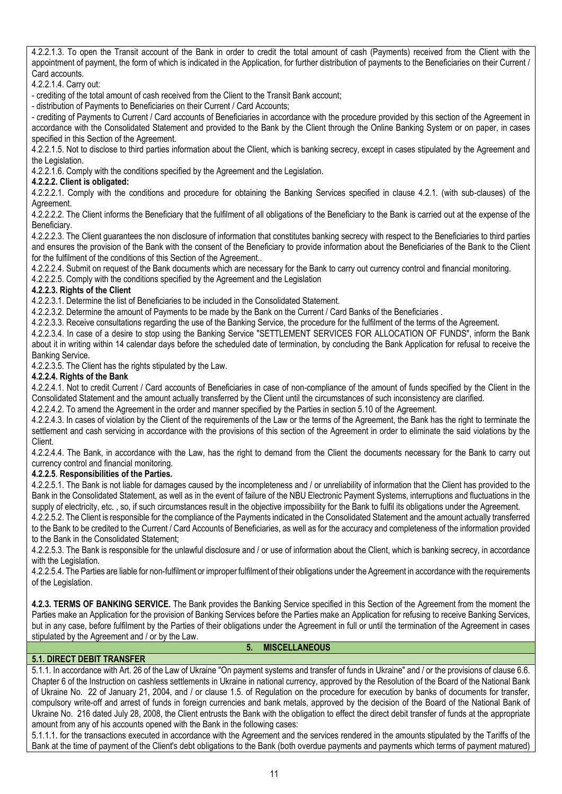4.2.2.1.3. To open the Transit account of the Bank in order to credit the total amount of cash (Payments) received from the Client with the appointment of payment, the form of which is indicated in the Application, for further distribution of payments to the Beneficiaries on their Current / Card accounts.

4.2.2.1.4. Carry out:

- crediting of the total amount of cash received from the Client to the Transit Bank account;

- distribution of Payments to Beneficiaries on their Current / Card Accounts;

- crediting of Payments to Current / Card accounts of Beneficiaries in accordance with the procedure provided by this section of the Agreement in accordance with the Consolidated Statement and provided to the Bank by the Client through the Online Banking System or on paper, in cases specified in this Section of the Agreement.

4.2.2.1.5. Not to disclose to third parties information about the Client, which is banking secrecy, except in cases stipulated by the Agreement and the Legislation.

4.2.2.1.6. Comply with the conditions specified by the Agreement and the Legislation.

### **4.2.2.2. Client is obligated:**

4.2.2.2.1. Comply with the conditions and procedure for obtaining the Banking Services specified in clause 4.2.1. (with sub-clauses) of the Agreement.

4.2.2.2.2. The Client informs the Beneficiary that the fulfilment of all obligations of the Beneficiary to the Bank is carried out at the expense of the Beneficiary.

4.2.2.2.3. The Client guarantees the non disclosure of information that constitutes banking secrecy with respect to the Beneficiaries to third parties and ensures the provision of the Bank with the consent of the Beneficiary to provide information about the Beneficiaries of the Bank to the Client for the fulfilment of the conditions of this Section of the Agreement..

4.2.2.2.4. Submit on request of the Bank documents which are necessary for the Bank to carry out currency control and financial monitoring.

4.2.2.2.5. Comply with the conditions specified by the Agreement and the Legislation

### **4.2.2.3. Rights of the Client**

4.2.2.3.1. Determine the list of Beneficiaries to be included in the Consolidated Statement.

4.2.2.3.2. Determine the amount of Payments to be made by the Bank on the Current / Card Banks of the Beneficiaries .

4.2.2.3.3. Receive consultations regarding the use of the Banking Service, the procedure for the fulfilment of the terms of the Agreement.

4.2.2.3.4. In case of a desire to stop using the Banking Service "SETTLEMENT SERVICES FOR ALLOCATION OF FUNDS", inform the Bank about it in writing within 14 calendar days before the scheduled date of termination, by concluding the Bank Application for refusal to receive the Banking Service.

4.2.2.3.5. The Client has the rights stipulated by the Law.

# **4.2.2.4. Rights of the Bank**

4.2.2.4.1. Not to credit Current / Card accounts of Beneficiaries in case of non-compliance of the amount of funds specified by the Client in the Consolidated Statement and the amount actually transferred by the Client until the circumstances of such inconsistency are clarified.

4.2.2.4.2. To amend the Agreement in the order and manner specified by the Parties in section 5.10 of the Agreement.

4.2.2.4.3. In cases of violation by the Client of the requirements of the Law or the terms of the Agreement, the Bank has the right to terminate the settlement and cash servicing in accordance with the provisions of this section of the Agreement in order to eliminate the said violations by the Client.

4.2.2.4.4. The Bank, in accordance with the Law, has the right to demand from the Client the documents necessary for the Bank to carry out currency control and financial monitoring.

### **4.2.2.5**. **Responsibilities of the Parties.**

4.2.2.5.1. The Bank is not liable for damages caused by the incompleteness and / or unreliability of information that the Client has provided to the Bank in the Consolidated Statement, as well as in the event of failure of the NBU Electronic Payment Systems, interruptions and fluctuations in the supply of electricity, etc., so, if such circumstances result in the objective impossibility for the Bank to fulfil its obligations under the Agreement.

4.2.2.5.2. The Client is responsible for the compliance of the Payments indicated in the Consolidated Statement and the amount actually transferred to the Bank to be credited to the Current / Card Accounts of Beneficiaries, as well as for the accuracy and completeness of the information provided to the Bank in the Consolidated Statement;

4.2.2.5.3. The Bank is responsible for the unlawful disclosure and / or use of information about the Client, which is banking secrecy, in accordance with the Legislation.

4.2.2.5.4. The Parties are liable for non-fulfilment or improper fulfilment of their obligations under the Agreement in accordance with the requirements of the Legislation.

**4.2.3. TERMS OF BANKING SERVICE.** The Bank provides the Banking Service specified in this Section of the Agreement from the moment the Parties make an Application for the provision of Banking Services before the Parties make an Application for refusing to receive Banking Services, but in any case, before fulfilment by the Parties of their obligations under the Agreement in full or until the termination of the Agreement in cases stipulated by the Agreement and / or by the Law.

#### **5. MISCELLANEOUS**

### **5.1. DIRECT DEBIT TRANSFER**

5.1.1. In accordance with Art. 26 of the Law of Ukraine "On payment systems and transfer of funds in Ukraine" and / or the provisions of clause 6.6. Chapter 6 of the Instruction on cashless settlements in Ukraine in national currency, approved by the Resolution of the Board of the National Bank of Ukraine No. 22 of January 21, 2004, and / or clause 1.5. of Regulation on the procedure for execution by banks of documents for transfer, compulsory write-off and arrest of funds in foreign currencies and bank metals, approved by the decision of the Board of the National Bank of Ukraine No. 216 dated July 28, 2008, the Client entrusts the Bank with the obligation to effect the direct debit transfer of funds at the appropriate amount from any of his accounts opened with the Bank in the following cases:

5.1.1.1. for the transactions executed in accordance with the Agreement and the services rendered in the amounts stipulated by the Tariffs of the Bank at the time of payment of the Client's debt obligations to the Bank (both overdue payments and payments which terms of payment matured)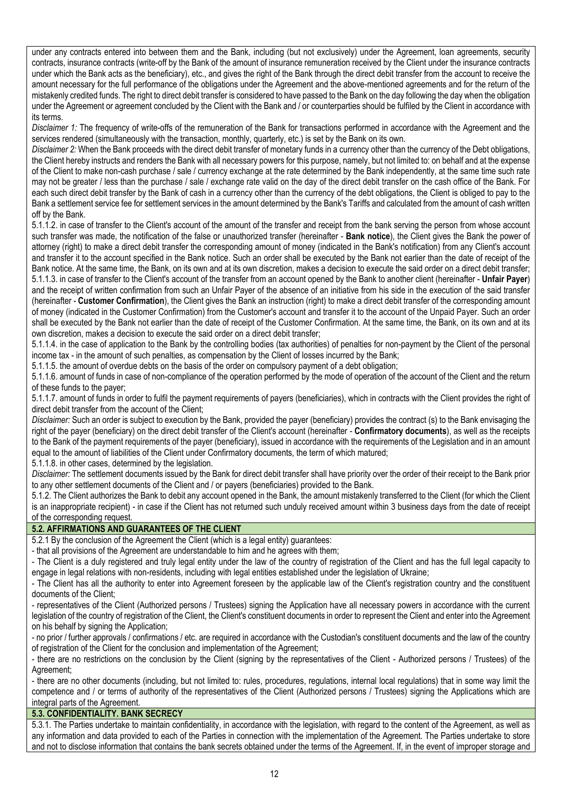under any contracts entered into between them and the Bank, including (but not exclusively) under the Agreement, loan agreements, security contracts, insurance contracts (write-off by the Bank of the amount of insurance remuneration received by the Client under the insurance contracts under which the Bank acts as the beneficiary), etc., and gives the right of the Bank through the direct debit transfer from the account to receive the amount necessary for the full performance of the obligations under the Agreement and the above-mentioned agreements and for the return of the mistakenly credited funds. The right to direct debit transfer is considered to have passed to the Bank on the day following the day when the obligation under the Agreement or agreement concluded by the Client with the Bank and / or counterparties should be fulfiled by the Client in accordance with its terms.

*Disclaimer 1:* The frequency of write-offs of the remuneration of the Bank for transactions performed in accordance with the Agreement and the services rendered (simultaneously with the transaction, monthly, quarterly, etc.) is set by the Bank on its own.

*Disclaimer 2:* When the Bank proceeds with the direct debit transfer of monetary funds in a currency other than the currency of the Debt obligations, the Client hereby instructs and renders the Bank with all necessary powers for this purpose, namely, but not limited to: on behalf and at the expense of the Client to make non-cash purchase / sale / currency exchange at the rate determined by the Bank independently, at the same time such rate may not be greater / less than the purchase / sale / exchange rate valid on the day of the direct debit transfer on the cash office of the Bank. For each such direct debit transfer by the Bank of cash in a currency other than the currency of the debt obligations, the Client is obliged to pay to the Bank a settlement service fee for settlement services in the amount determined by the Bank's Tariffs and calculated from the amount of cash written off by the Bank.

5.1.1.2. in case of transfer to the Client's account of the amount of the transfer and receipt from the bank serving the person from whose account such transfer was made, the notification of the false or unauthorized transfer (hereinafter - **Bank notice**), the Client gives the Bank the power of attorney (right) to make a direct debit transfer the corresponding amount of money (indicated in the Bank's notification) from any Client's account and transfer it to the account specified in the Bank notice. Such an order shall be executed by the Bank not earlier than the date of receipt of the Bank notice. At the same time, the Bank, on its own and at its own discretion, makes a decision to execute the said order on a direct debit transfer; 5.1.1.3. in case of transfer to the Client's account of the transfer from an account opened by the Bank to another client (hereinafter - **Unfair Payer**) and the receipt of written confirmation from such an Unfair Payer of the absence of an initiative from his side in the execution of the said transfer (hereinafter - **Customer Confirmation**), the Client gives the Bank an instruction (right) to make a direct debit transfer of the corresponding amount of money (indicated in the Customer Confirmation) from the Customer's account and transfer it to the account of the Unpaid Payer. Such an order shall be executed by the Bank not earlier than the date of receipt of the Customer Confirmation. At the same time, the Bank, on its own and at its own discretion, makes a decision to execute the said order on a direct debit transfer;

5.1.1.4. in the case of application to the Bank by the controlling bodies (tax authorities) of penalties for non-payment by the Client of the personal income tax - in the amount of such penalties, as compensation by the Client of losses incurred by the Bank;

5.1.1.5. the amount of overdue debts on the basis of the order on compulsory payment of a debt obligation;

5.1.1.6. amount of funds in case of non-compliance of the operation performed by the mode of operation of the account of the Client and the return of these funds to the payer;

5.1.1.7. amount of funds in order to fulfil the payment requirements of payers (beneficiaries), which in contracts with the Client provides the right of direct debit transfer from the account of the Client;

*Disclaimer:* Such an order is subject to execution by the Bank, provided the payer (beneficiary) provides the contract (s) to the Bank envisaging the right of the payer (beneficiary) on the direct debit transfer of the Client's account (hereinafter - **Confirmatory documents**), as well as the receipts to the Bank of the payment requirements of the payer (beneficiary), issued in accordance with the requirements of the Legislation and in an amount equal to the amount of liabilities of the Client under Confirmatory documents, the term of which matured;

5.1.1.8. in other cases, determined by the legislation.

*Disclaimer:* The settlement documents issued by the Bank for direct debit transfer shall have priority over the order of their receipt to the Bank prior to any other settlement documents of the Client and / or payers (beneficiaries) provided to the Bank.

5.1.2. The Client authorizes the Bank to debit any account opened in the Bank, the amount mistakenly transferred to the Client (for which the Client is an inappropriate recipient) - in case if the Client has not returned such unduly received amount within 3 business days from the date of receipt of the corresponding request.

### **5.2. AFFIRMATIONS AND GUARANTEES OF THE CLIENT**

5.2.1 By the conclusion of the Agreement the Client (which is a legal entity) guarantees:

- that all provisions of the Agreement are understandable to him and he agrees with them;

- The Client is a duly registered and truly legal entity under the law of the country of registration of the Client and has the full legal capacity to engage in legal relations with non-residents, including with legal entities established under the legislation of Ukraine;

- The Client has all the authority to enter into Agreement foreseen by the applicable law of the Client's registration country and the constituent documents of the Client;

- representatives of the Client (Authorized persons / Trustees) signing the Application have all necessary powers in accordance with the current legislation of the country of registration of the Client, the Client's constituent documents in order to represent the Client and enter into the Agreement on his behalf by signing the Application;

- no prior / further approvals / confirmations / etc. are required in accordance with the Custodian's constituent documents and the law of the country of registration of the Client for the conclusion and implementation of the Agreement;

- there are no restrictions on the conclusion by the Client (signing by the representatives of the Client - Authorized persons / Trustees) of the Agreement;

- there are no other documents (including, but not limited to: rules, procedures, regulations, internal local regulations) that in some way limit the competence and / or terms of authority of the representatives of the Client (Authorized persons / Trustees) signing the Applications which are integral parts of the Agreement.

# **5.3. CONFIDENTIALITY. BANK SECRECY**

5.3.1. The Parties undertake to maintain confidentiality, in accordance with the legislation, with regard to the content of the Agreement, as well as any information and data provided to each of the Parties in connection with the implementation of the Agreement. The Parties undertake to store and not to disclose information that contains the bank secrets obtained under the terms of the Agreement. If, in the event of improper storage and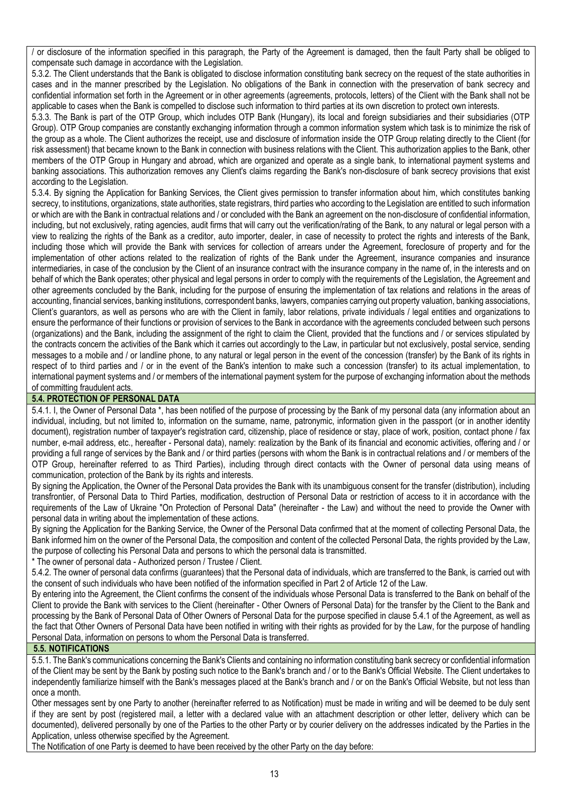/ or disclosure of the information specified in this paragraph, the Party of the Agreement is damaged, then the fault Party shall be obliged to compensate such damage in accordance with the Legislation.

5.3.2. The Client understands that the Bank is obligated to disclose information constituting bank secrecy on the request of the state authorities in cases and in the manner prescribed by the Legislation. No obligations of the Bank in connection with the preservation of bank secrecy and confidential information set forth in the Agreement or in other agreements (agreements, protocols, letters) of the Client with the Bank shall not be applicable to cases when the Bank is compelled to disclose such information to third parties at its own discretion to protect own interests.

5.3.3. The Bank is part of the OTP Group, which includes OTP Bank (Hungary), its local and foreign subsidiaries and their subsidiaries (OTP Group). OTP Group companies are constantly exchanging information through a common information system which task is to minimize the risk of the group as a whole. The Client authorizes the receipt, use and disclosure of information inside the OTP Group relating directly to the Client (for risk assessment) that became known to the Bank in connection with business relations with the Client. This authorization applies to the Bank, other members of the OTP Group in Hungary and abroad, which are organized and operate as a single bank, to international payment systems and banking associations. This authorization removes any Client's claims regarding the Bank's non-disclosure of bank secrecy provisions that exist according to the Legislation.

5.3.4. By signing the Application for Banking Services, the Client gives permission to transfer information about him, which constitutes banking secrecy, to institutions, organizations, state authorities, state registrars, third parties who according to the Legislation are entitled to such information or which are with the Bank in contractual relations and / or concluded with the Bank an agreement on the non-disclosure of confidential information, including, but not exclusively, rating agencies, audit firms that will carry out the verification/rating of the Bank, to any natural or legal person with a view to realizing the rights of the Bank as a creditor, auto importer, dealer, in case of necessity to protect the rights and interests of the Bank, including those which will provide the Bank with services for collection of arrears under the Agreement, foreclosure of property and for the implementation of other actions related to the realization of rights of the Bank under the Agreement, insurance companies and insurance intermediaries, in case of the conclusion by the Client of an insurance contract with the insurance company in the name of, in the interests and on behalf of which the Bank operates; other physical and legal persons in order to comply with the requirements of the Legislation, the Agreement and other agreements concluded by the Bank, including for the purpose of ensuring the implementation of tax relations and relations in the areas of accounting, financial services, banking institutions, correspondent banks, lawyers, companies carrying out property valuation, banking associations, Client's guarantors, as well as persons who are with the Client in family, labor relations, private individuals / legal entities and organizations to ensure the performance of their functions or provision of services to the Bank in accordance with the agreements concluded between such persons (organizations) and the Bank, including the assignment of the right to claim the Client, provided that the functions and / or services stipulated by the contracts concern the activities of the Bank which it carries out accordingly to the Law, in particular but not exclusively, postal service, sending messages to a mobile and / or landline phone, to any natural or legal person in the event of the concession (transfer) by the Bank of its rights in respect of to third parties and / or in the event of the Bank's intention to make such a concession (transfer) to its actual implementation, to international payment systems and / or members of the international payment system for the purpose of exchanging information about the methods of committing fraudulent acts.

### **5.4. PROTECTION OF PERSONAL DATA**

5.4.1. I, the Owner of Personal Data \*, has been notified of the purpose of processing by the Bank of my personal data (any information about an individual, including, but not limited to, information on the surname, name, patronymic, information given in the passport (or in another identity document), registration number of taxpayer's registration card, citizenship, place of residence or stay, place of work, position, contact phone / fax number, e-mail address, etc., hereafter - Personal data), namely: realization by the Bank of its financial and economic activities, offering and / or providing a full range of services by the Bank and / or third parties (persons with whom the Bank is in contractual relations and / or members of the OTP Group, hereinafter referred to as Third Parties), including through direct contacts with the Owner of personal data using means of communication, protection of the Bank by its rights and interests.

By signing the Application, the Owner of the Personal Data provides the Bank with its unambiguous consent for the transfer (distribution), including transfrontier, of Personal Data to Third Parties, modification, destruction of Personal Data or restriction of access to it in accordance with the requirements of the Law of Ukraine "On Protection of Personal Data" (hereinafter - the Law) and without the need to provide the Owner with personal data in writing about the implementation of these actions.

By signing the Application for the Banking Service, the Owner of the Personal Data confirmed that at the moment of collecting Personal Data, the Bank informed him on the owner of the Personal Data, the composition and content of the collected Personal Data, the rights provided by the Law, the purpose of collecting his Personal Data and persons to which the personal data is transmitted.

\* The owner of personal data - Authorized person / Trustee / Client.

5.4.2. The owner of personal data confirms (guarantees) that the Personal data of individuals, which are transferred to the Bank, is carried out with the consent of such individuals who have been notified of the information specified in Part 2 of Article 12 of the Law.

By entering into the Agreement, the Client confirms the consent of the individuals whose Personal Data is transferred to the Bank on behalf of the Client to provide the Bank with services to the Client (hereinafter - Other Owners of Personal Data) for the transfer by the Client to the Bank and processing by the Bank of Personal Data of Other Owners of Personal Data for the purpose specified in clause 5.4.1 of the Agreement, as well as the fact that Other Owners of Personal Data have been notified in writing with their rights as provided for by the Law, for the purpose of handling Personal Data, information on persons to whom the Personal Data is transferred.

### **5.5. NOTIFICATIONS**

5.5.1. The Bank's communications concerning the Bank's Clients and containing no information constituting bank secrecy or confidential information of the Client may be sent by the Bank by posting such notice to the Bank's branch and / or to the Bank's Official Website. The Client undertakes to independently familiarize himself with the Bank's messages placed at the Bank's branch and / or on the Bank's Official Website, but not less than once a month.

Other messages sent by one Party to another (hereinafter referred to as Notification) must be made in writing and will be deemed to be duly sent if they are sent by post (registered mail, a letter with a declared value with an attachment description or other letter, delivery which can be documented), delivered personally by one of the Parties to the other Party or by courier delivery on the addresses indicated by the Parties in the Application, unless otherwise specified by the Agreement.

The Notification of one Party is deemed to have been received by the other Party on the day before: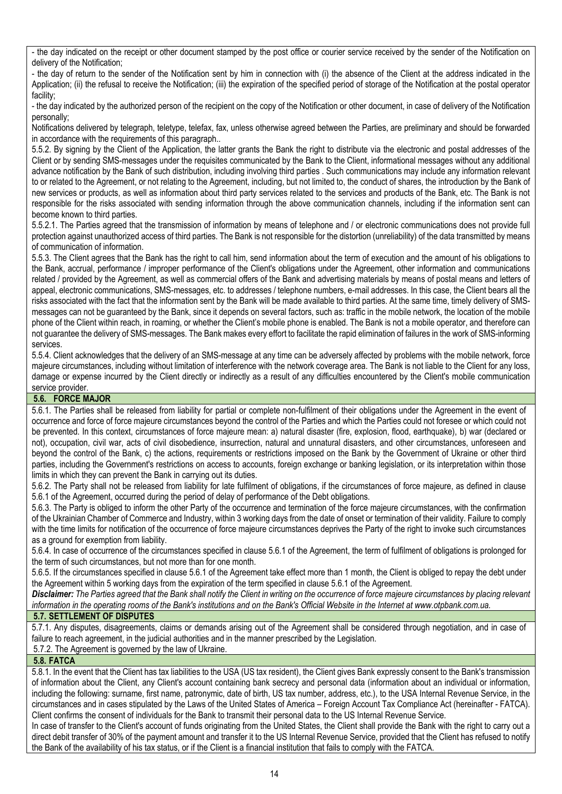- the day indicated on the receipt or other document stamped by the post office or courier service received by the sender of the Notification on delivery of the Notification;

- the day of return to the sender of the Notification sent by him in connection with (i) the absence of the Client at the address indicated in the Application; (ii) the refusal to receive the Notification; (iii) the expiration of the specified period of storage of the Notification at the postal operator facility;

- the day indicated by the authorized person of the recipient on the copy of the Notification or other document, in case of delivery of the Notification personally;

Notifications delivered by telegraph, teletype, telefax, fax, unless otherwise agreed between the Parties, are preliminary and should be forwarded in accordance with the requirements of this paragraph..

5.5.2. By signing by the Client of the Application, the latter grants the Bank the right to distribute via the electronic and postal addresses of the Client or by sending SMS-messages under the requisites communicated by the Bank to the Client, informational messages without any additional advance notification by the Bank of such distribution, including involving third parties . Such communications may include any information relevant to or related to the Agreement, or not relating to the Agreement, including, but not limited to, the conduct of shares, the introduction by the Bank of new services or products, as well as information about third party services related to the services and products of the Bank, etc. The Bank is not responsible for the risks associated with sending information through the above communication channels, including if the information sent can become known to third parties.

5.5.2.1. The Parties agreed that the transmission of information by means of telephone and / or electronic communications does not provide full protection against unauthorized access of third parties. The Bank is not responsible for the distortion (unreliability) of the data transmitted by means of communication of information.

5.5.3. The Client agrees that the Bank has the right to call him, send information about the term of execution and the amount of his obligations to the Bank, accrual, performance / improper performance of the Client's obligations under the Agreement, other information and communications related / provided by the Agreement, as well as commercial offers of the Bank and advertising materials by means of postal means and letters of appeal, electronic communications, SMS-messages, etc. to addresses / telephone numbers, e-mail addresses. In this case, the Client bears all the risks associated with the fact that the information sent by the Bank will be made available to third parties. At the same time, timely delivery of SMSmessages can not be guaranteed by the Bank, since it depends on several factors, such as: traffic in the mobile network, the location of the mobile phone of the Client within reach, in roaming, or whether the Client's mobile phone is enabled. The Bank is not a mobile operator, and therefore can not guarantee the delivery of SMS-messages. The Bank makes every effort to facilitate the rapid elimination of failures in the work of SMS-informing services.

5.5.4. Client acknowledges that the delivery of an SMS-message at any time can be adversely affected by problems with the mobile network, force majeure circumstances, including without limitation of interference with the network coverage area. The Bank is not liable to the Client for any loss, damage or expense incurred by the Client directly or indirectly as a result of any difficulties encountered by the Client's mobile communication service provider.

### **5.6. FORCE MAJOR**

5.6.1. The Parties shall be released from liability for partial or complete non-fulfilment of their obligations under the Agreement in the event of occurrence and force of force majeure circumstances beyond the control of the Parties and which the Parties could not foresee or which could not be prevented. In this context, circumstances of force majeure mean: a) natural disaster (fire, explosion, flood, earthquake), b) war (declared or not), occupation, civil war, acts of civil disobedience, insurrection, natural and unnatural disasters, and other circumstances, unforeseen and beyond the control of the Bank, c) the actions, requirements or restrictions imposed on the Bank by the Government of Ukraine or other third parties, including the Government's restrictions on access to accounts, foreign exchange or banking legislation, or its interpretation within those limits in which they can prevent the Bank in carrying out its duties.

5.6.2. The Party shall not be released from liability for late fulfilment of obligations, if the circumstances of force majeure, as defined in clause 5.6.1 of the Agreement, occurred during the period of delay of performance of the Debt obligations.

5.6.3. The Party is obliged to inform the other Party of the occurrence and termination of the force majeure circumstances, with the confirmation of the Ukrainian Chamber of Commerce and Industry, within 3 working days from the date of onset or termination of their validity. Failure to comply with the time limits for notification of the occurrence of force majeure circumstances deprives the Party of the right to invoke such circumstances as a ground for exemption from liability.

5.6.4. In case of occurrence of the circumstances specified in clause 5.6.1 of the Agreement, the term of fulfilment of obligations is prolonged for the term of such circumstances, but not more than for one month.

5.6.5. If the circumstances specified in clause 5.6.1 of the Agreement take effect more than 1 month, the Client is obliged to repay the debt under the Agreement within 5 working days from the expiration of the term specified in clause 5.6.1 of the Agreement.

*Disclaimer: The Parties agreed that the Bank shall notify the Client in writing on the occurrence of force majeure circumstances by placing relevant information in the operating rooms of the Bank's institutions and on the Bank's Official Website in the Internet at www.otpbank.com.ua.*

#### **5.7. SETTLEMENT OF DISPUTES**

5.7.1. Any disputes, disagreements, claims or demands arising out of the Agreement shall be considered through negotiation, and in case of failure to reach agreement, in the judicial authorities and in the manner prescribed by the Legislation.

5.7.2. The Agreement is governed by the law of Ukraine.

### **5.8. FATCA**

5.8.1. In the event that the Client has tax liabilities to the USA (US tax resident), the Client gives Bank expressly consent to the Bank's transmission of information about the Client, any Client's account containing bank secrecy and personal data (information about an individual or information, including the following: surname, first name, patronymic, date of birth, US tax number, address, etc.), to the USA Internal Revenue Service, in the circumstances and in cases stipulated by the Laws of the United States of America – Foreign Account Tax Compliance Act (hereinafter - FATCA). Client confirms the consent of individuals for the Bank to transmit their personal data to the US Internal Revenue Service.

In case of transfer to the Client's account of funds originating from the United States, the Client shall provide the Bank with the right to carry out a direct debit transfer of 30% of the payment amount and transfer it to the US Internal Revenue Service, provided that the Client has refused to notify the Bank of the availability of his tax status, or if the Client is a financial institution that fails to comply with the FATCA.